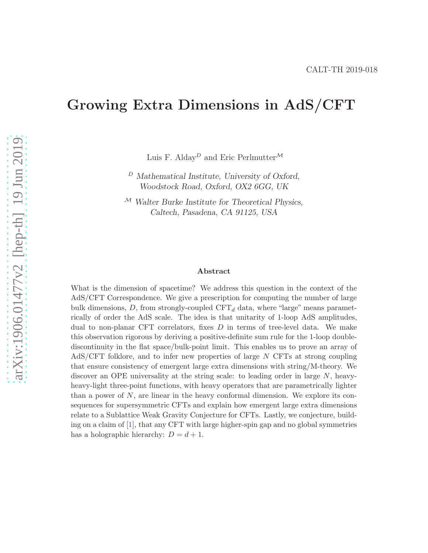# Growing Extra Dimensions in AdS/CFT

Luis F. Alday $^D$  and Eric Perlmutter $^{\mathcal{M}}$ 

 $D$  Mathematical Institute, University of Oxford, Woodstock Road, Oxford, OX2 6GG, UK

 $M$  Walter Burke Institute for Theoretical Physics, Caltech, Pasadena, CA 91125, USA

#### Abstract

What is the dimension of spacetime? We address this question in the context of the AdS/CFT Correspondence. We give a prescription for computing the number of large bulk dimensions, D, from strongly-coupled  $CFT<sub>d</sub>$  data, where "large" means parametrically of order the AdS scale. The idea is that unitarity of 1-loop AdS amplitudes, dual to non-planar CFT correlators, fixes  $D$  in terms of tree-level data. We make this observation rigorous by deriving a positive-definite sum rule for the 1-loop doublediscontinuity in the flat space/bulk-point limit. This enables us to prove an array of AdS/CFT folklore, and to infer new properties of large N CFTs at strong coupling that ensure consistency of emergent large extra dimensions with string/M-theory. We discover an OPE universality at the string scale: to leading order in large N, heavyheavy-light three-point functions, with heavy operators that are parametrically lighter than a power of N, are linear in the heavy conformal dimension. We explore its consequences for supersymmetric CFTs and explain how emergent large extra dimensions relate to a Sublattice Weak Gravity Conjecture for CFTs. Lastly, we conjecture, building on a claim of [\[1\]](#page-32-0), that any CFT with large higher-spin gap and no global symmetries has a holographic hierarchy:  $D = d + 1$ .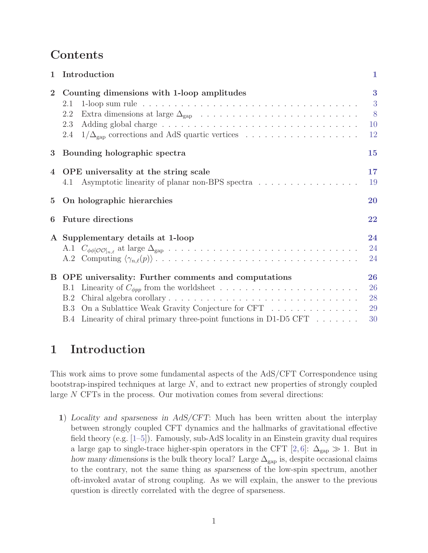# Contents

| $\mathbf 1$    | Introduction                                                                                                                                                                                                         | 1                          |
|----------------|----------------------------------------------------------------------------------------------------------------------------------------------------------------------------------------------------------------------|----------------------------|
| $\overline{2}$ | Counting dimensions with 1-loop amplitudes<br>2.1<br>2.2<br>2.3<br>$1/\Delta_{\rm gap}$ corrections and AdS quartic vertices<br>2.4                                                                                  | 3<br>3<br>8<br>10<br>12    |
| 3              | Bounding holographic spectra                                                                                                                                                                                         | 15                         |
| $\overline{4}$ | OPE universality at the string scale<br>Asymptotic linearity of planar non-BPS spectra<br>4.1                                                                                                                        | 17<br>19                   |
| $\overline{5}$ | On holographic hierarchies                                                                                                                                                                                           | 20                         |
| 6              | <b>Future directions</b>                                                                                                                                                                                             | 22                         |
|                | A Supplementary details at 1-loop                                                                                                                                                                                    | 24<br>24<br>24             |
|                | B OPE universality: Further comments and computations<br>B.1<br>B.2<br>On a Sublattice Weak Gravity Conjecture for CFT<br>B.3<br>Linearity of chiral primary three-point functions in D1-D5 CFT $\dots \dots$<br>B.4 | 26<br>26<br>28<br>29<br>30 |

# <span id="page-1-0"></span>1 Introduction

This work aims to prove some fundamental aspects of the AdS/CFT Correspondence using bootstrap-inspired techniques at large N, and to extract new properties of strongly coupled large N CFTs in the process. Our motivation comes from several directions:

1) Locality and sparseness in AdS/CFT: Much has been written about the interplay between strongly coupled CFT dynamics and the hallmarks of gravitational effective field theory (e.g. [\[1](#page-32-0)[–5\]](#page-32-1)). Famously, sub-AdS locality in an Einstein gravity dual requires a large gap to single-trace higher-spin operators in the CFT [\[2,](#page-32-2)[6\]](#page-32-3):  $\Delta_{\rm gap} \gg 1$ . But in how many dimensions is the bulk theory local? Large  $\Delta_{\rm gap}$  is, despite occasional claims to the contrary, not the same thing as sparseness of the low-spin spectrum, another oft-invoked avatar of strong coupling. As we will explain, the answer to the previous question is directly correlated with the degree of sparseness.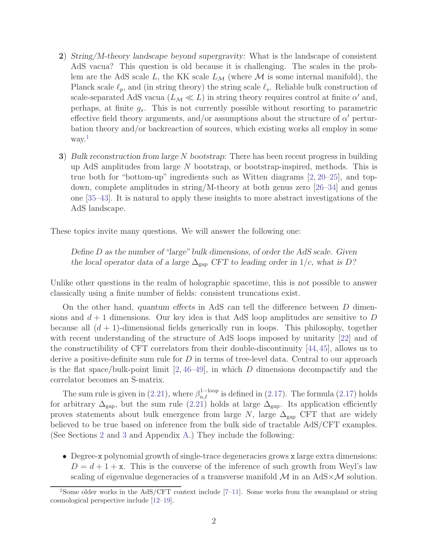- 2) String/M-theory landscape beyond supergravity: What is the landscape of consistent AdS vacua? This question is old because it is challenging. The scales in the problem are the AdS scale L, the KK scale  $L_{\mathcal{M}}$  (where M is some internal manifold), the Planck scale  $\ell_p$ , and (in string theory) the string scale  $\ell_s$ . Reliable bulk construction of scale-separated AdS vacua  $(L_M \ll L)$  in string theory requires control at finite  $\alpha'$  and, perhaps, at finite  $g_s$ . This is not currently possible without resorting to parametric effective field theory arguments, and/or assumptions about the structure of  $\alpha'$  perturbation theory and/or backreaction of sources, which existing works all employ in some way.<sup>1</sup>
- 3) Bulk reconstruction from large N bootstrap: There has been recent progress in building up AdS amplitudes from large  $N$  bootstrap, or bootstrap-inspired, methods. This is true both for "bottom-up" ingredients such as Witten diagrams [\[2,](#page-32-2) [20–](#page-33-0)[25\]](#page-33-1), and topdown, complete amplitudes in string/M-theory at both genus zero [\[26](#page-33-2)[–34\]](#page-34-0) and genus one [\[35](#page-34-1)[–43\]](#page-35-0). It is natural to apply these insights to more abstract investigations of the AdS landscape.

These topics invite many questions. We will answer the following one:

Define D as the number of "large" bulk dimensions, of order the AdS scale. Given the local operator data of a large  $\Delta_{\rm gap}$  CFT to leading order in 1/c, what is D?

Unlike other questions in the realm of holographic spacetime, this is not possible to answer classically using a finite number of fields: consistent truncations exist.

On the other hand, quantum effects in AdS can tell the difference between D dimensions and  $d+1$  dimensions. Our key idea is that AdS loop amplitudes are sensitive to D because all  $(d + 1)$ -dimensional fields generically run in loops. This philosophy, together with recent understanding of the structure of AdS loops imposed by unitarity [\[22\]](#page-33-3) and of the constructibility of CFT correlators from their double-discontinuity [\[44,](#page-35-1) [45\]](#page-35-2), allows us to derive a positive-definite sum rule for  $D$  in terms of tree-level data. Central to our approach is the flat space/bulk-point limit  $[2, 46-49]$  $[2, 46-49]$  $[2, 46-49]$ , in which D dimensions decompactify and the correlator becomes an S-matrix.

The sum rule is given in [\(2.21\)](#page-7-1), where  $\beta_{n,\ell}^{1-\text{loop}}$  is defined in [\(2.17\)](#page-6-0). The formula (2.17) holds for arbitrary  $\Delta_{\text{gap}}$ , but the sum rule [\(2.21\)](#page-7-1) holds at large  $\Delta_{\text{gap}}$ . Its application efficiently proves statements about bulk emergence from large  $N$ , large  $\Delta_{\text{gap}}$  CFT that are widely believed to be true based on inference from the bulk side of tractable AdS/CFT examples. (See Sections [2](#page-3-0) and [3](#page-15-0) and Appendix [A.](#page-23-0)) They include the following:

• Degree-x polynomial growth of single-trace degeneracies grows x large extra dimensions:  $D = d + 1 + x$ . This is the converse of the inference of such growth from Weyl's law scaling of eigenvalue degeneracies of a transverse manifold  $\mathcal{M}$  in an AdS $\times\mathcal{M}$  solution.

<sup>1</sup>Some older works in the AdS/CFT context include [\[7–](#page-32-4)[11\]](#page-32-5). Some works from the swampland or string cosmological perspective include [\[12–](#page-33-4)[19\]](#page-33-5).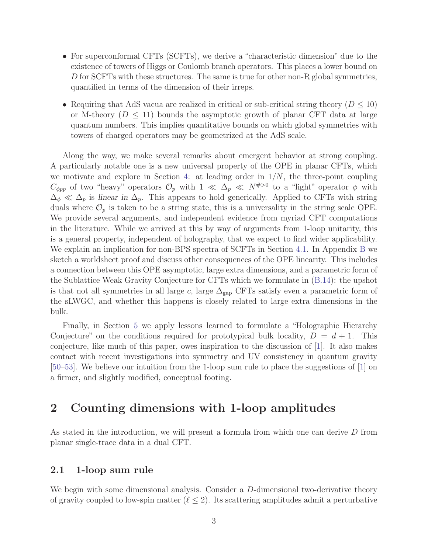- For superconformal CFTs (SCFTs), we derive a "characteristic dimension" due to the existence of towers of Higgs or Coulomb branch operators. This places a lower bound on D for SCFTs with these structures. The same is true for other non-R global symmetries, quantified in terms of the dimension of their irreps.
- Requiring that AdS vacua are realized in critical or sub-critical string theory  $(D \leq 10)$ or M-theory ( $D \leq 11$ ) bounds the asymptotic growth of planar CFT data at large quantum numbers. This implies quantitative bounds on which global symmetries with towers of charged operators may be geometrized at the AdS scale.

Along the way, we make several remarks about emergent behavior at strong coupling. A particularly notable one is a new universal property of the OPE in planar CFTs, which we motivate and explore in Section [4:](#page-17-0) at leading order in  $1/N$ , the three-point coupling  $C_{\phi pp}$  of two "heavy" operators  $\mathcal{O}_p$  with  $1 \ll \Delta_p \ll N^{H>0}$  to a "light" operator  $\phi$  with  $\Delta_{\phi} \ll \Delta_p$  is linear in  $\Delta_p$ . This appears to hold generically. Applied to CFTs with string duals where  $\mathcal{O}_p$  is taken to be a string state, this is a universality in the string scale OPE. We provide several arguments, and independent evidence from myriad CFT computations in the literature. While we arrived at this by way of arguments from 1-loop unitarity, this is a general property, independent of holography, that we expect to find wider applicability. We explain an implication for non-BPS spectra of SCFTs in Section [4.1.](#page-19-0) In Appendix [B](#page-25-0) we sketch a worldsheet proof and discuss other consequences of the OPE linearity. This includes a connection between this OPE asymptotic, large extra dimensions, and a parametric form of the Sublattice Weak Gravity Conjecture for CFTs which we formulate in [\(B.14\)](#page-29-1): the upshot is that not all symmetries in all large c, large  $\Delta_{\rm gap}$  CFTs satisfy even a parametric form of the sLWGC, and whether this happens is closely related to large extra dimensions in the bulk.

Finally, in Section [5](#page-20-0) we apply lessons learned to formulate a "Holographic Hierarchy Conjecture" on the conditions required for prototypical bulk locality,  $D = d + 1$ . This conjecture, like much of this paper, owes inspiration to the discussion of [\[1\]](#page-32-0). It also makes contact with recent investigations into symmetry and UV consistency in quantum gravity [\[50–](#page-35-5)[53\]](#page-35-6). We believe our intuition from the 1-loop sum rule to place the suggestions of [\[1\]](#page-32-0) on a firmer, and slightly modified, conceptual footing.

## <span id="page-3-0"></span>2 Counting dimensions with 1-loop amplitudes

<span id="page-3-1"></span>As stated in the introduction, we will present a formula from which one can derive D from planar single-trace data in a dual CFT.

### 2.1 1-loop sum rule

We begin with some dimensional analysis. Consider a D-dimensional two-derivative theory of gravity coupled to low-spin matter  $(\ell \leq 2)$ . Its scattering amplitudes admit a perturbative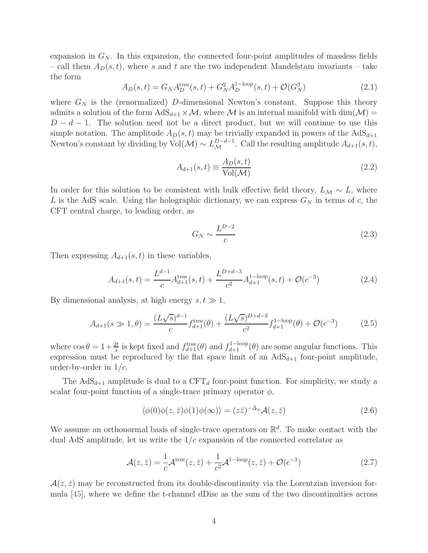expansion in  $G_N$ . In this expansion, the connected four-point amplitudes of massless fields – call them  $A_D(s,t)$ , where s and t are the two independent Mandelstam invariants – take the form

$$
A_D(s,t) = G_N A_D^{\text{tree}}(s,t) + G_N^2 A_D^{\text{1-loop}}(s,t) + \mathcal{O}(G_N^3)
$$
\n(2.1)

where  $G_N$  is the (renormalized) D-dimensional Newton's constant. Suppose this theory admits a solution of the form  $AdS_{d+1} \times M$ , where M is an internal manifold with  $dim(\mathcal{M}) =$  $D - d - 1$ . The solution need not be a direct product, but we will continue to use this simple notation. The amplitude  $A_D(s, t)$  may be trivially expanded in powers of the  $AdS_{d+1}$ Newton's constant by dividing by Vol( $\mathcal{M}) \sim L_{\mathcal{M}}^{D-d-1}$ . Call the resulting amplitude  $A_{d+1}(s,t)$ ,

$$
A_{d+1}(s,t) \equiv \frac{A_D(s,t)}{\text{Vol}(\mathcal{M})}
$$
\n(2.2)

In order for this solution to be consistent with bulk effective field theory,  $L_M \sim L$ , where L is the AdS scale. Using the holographic dictionary, we can express  $G_N$  in terms of c, the CFT central charge, to leading order, as

$$
G_N \sim \frac{L^{D-2}}{c} \tag{2.3}
$$

Then expressing  $A_{d+1}(s,t)$  in these variables,

<span id="page-4-0"></span>
$$
A_{d+1}(s,t) = \frac{L^{d-1}}{c} A_{d+1}^{\text{tree}}(s,t) + \frac{L^{D+d-3}}{c^2} A_{d+1}^{1-\text{loop}}(s,t) + \mathcal{O}(c^{-3})
$$
\n(2.4)

By dimensional analysis, at high energy  $s, t \gg 1$ ,

<span id="page-4-1"></span>
$$
A_{d+1}(s \gg 1, \theta) = \frac{(L\sqrt{s})^{d-1}}{c} f_{d+1}^{\text{tree}}(\theta) + \frac{(L\sqrt{s})^{D+d-3}}{c^2} f_{d+1}^{1-\text{loop}}(\theta) + \mathcal{O}(c^{-3}) \tag{2.5}
$$

where  $\cos \theta = 1 + \frac{2t}{s}$  is kept fixed and  $f_{d+1}^{\text{tree}}(\theta)$  and  $f_{d+1}^{\text{1-loop}}(\theta)$  are some angular functions. This expression must be reproduced by the flat space limit of an  $AdS_{d+1}$  four-point amplitude, order-by-order in  $1/c$ .

The  $AdS_{d+1}$  amplitude is dual to a CFT<sub>d</sub> four-point function. For simplicity, we study a scalar four-point function of a single-trace primary operator  $\phi$ ,

$$
\langle \phi(0)\phi(z,\bar{z})\phi(1)\phi(\infty)\rangle = (z\bar{z})^{-\Delta_{\phi}}\mathcal{A}(z,\bar{z})
$$
\n(2.6)

We assume an orthonormal basis of single-trace operators on  $\mathbb{R}^d$ . To make contact with the dual AdS amplitude, let us write the  $1/c$  expansion of the connected correlator as

$$
\mathcal{A}(z,\bar{z}) = \frac{1}{c}\mathcal{A}^{\text{tree}}(z,\bar{z}) + \frac{1}{c^2}\mathcal{A}^{\text{1-loop}}(z,\bar{z}) + \mathcal{O}(c^{-3})
$$
\n(2.7)

 $\mathcal{A}(z,\bar{z})$  may be reconstructed from its double-discontinuity via the Lorentzian inversion formula [\[45\]](#page-35-2), where we define the t-channel dDisc as the sum of the two discontinuities across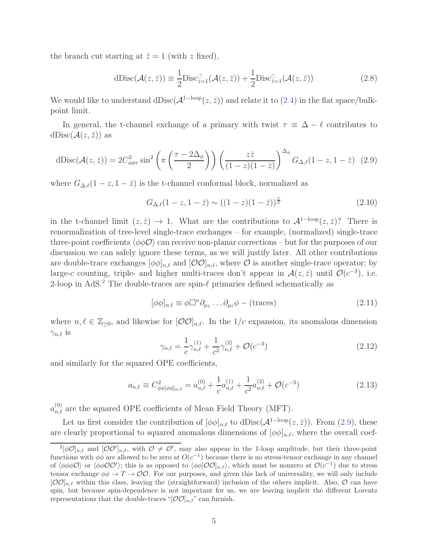the branch cut starting at  $\bar{z} = 1$  (with z fixed),

$$
dDisc(\mathcal{A}(z,\bar{z})) \equiv \frac{1}{2}Disc_{\bar{z}=1}^{\circ}(\mathcal{A}(z,\bar{z})) + \frac{1}{2}Disc_{\bar{z}=1}^{\circ}(\mathcal{A}(z,\bar{z}))
$$
\n(2.8)

We would like to understand dDisc( $\mathcal{A}^{\{1-\text{loop}}(z,\bar{z})\}$  and relate it to [\(2.4\)](#page-4-0) in the flat space/bulkpoint limit.

In general, the t-channel exchange of a primary with twist  $\tau \equiv \Delta - \ell$  contributes to  $dDisc(\mathcal{A}(z,\bar{z}))$  as

<span id="page-5-0"></span>dDisc
$$
(\mathcal{A}(z,\bar{z})) = 2C_{\phi\phi\tau}^2 \sin^2\left(\pi\left(\frac{\tau - 2\Delta_\phi}{2}\right)\right) \left(\frac{z\bar{z}}{(1-z)(1-\bar{z})}\right)^{\Delta_\phi} G_{\Delta,\ell}(1-z,1-\bar{z})
$$
 (2.9)

where  $G_{\Delta,\ell}(1-z,1-\overline{z})$  is the t-channel conformal block, normalized as

$$
G_{\Delta,\ell}(1-z,1-\bar{z}) \sim ((1-z)(1-\bar{z}))^{\frac{\tau}{2}}
$$
\n(2.10)

in the t-channel limit  $(z, \bar{z}) \rightarrow 1$ . What are the contributions to  $\mathcal{A}^{\{1-\text{loop}}}(z, \bar{z})$ ? There is renormalization of tree-level single-trace exchanges – for example, (normalized) single-trace three-point coefficients  $\langle \phi \phi \mathcal{O} \rangle$  can receive non-planar corrections – but for the purposes of our discussion we can safely ignore these terms, as we will justify later. All other contributions are double-trace exchanges  $[\phi \phi]_{n,\ell}$  and  $[{\cal O} {\cal O}]_{n,\ell}$ , where  ${\cal O}$  is another single-trace operator; by large-c counting, triple- and higher multi-traces don't appear in  $\mathcal{A}(z,\bar{z})$  until  $\mathcal{O}(c^{-3})$ , i.e. 2-loop in AdS.<sup>2</sup> The double-traces are spin- $\ell$  primaries defined schematically as

$$
[\phi\phi]_{n,\ell} \equiv \phi \Box^n \partial_{\mu_1} \dots \partial_{\mu_\ell} \phi - (\text{traces})
$$
\n(2.11)

where  $n, \ell \in \mathbb{Z}_{\geq 0}$ , and likewise for  $[O O]_{n,\ell}$ . In the  $1/c$  expansion, its anomalous dimension  $\gamma_{n,\ell}$  is

$$
\gamma_{n,\ell} = \frac{1}{c} \gamma_{n,\ell}^{(1)} + \frac{1}{c^2} \gamma_{n,\ell}^{(2)} + \mathcal{O}(c^{-3})
$$
\n(2.12)

and similarly for the squared OPE coefficients,

$$
a_{n,\ell} \equiv C_{\phi\phi[\phi\phi]_{n,\ell}}^2 = a_{n,\ell}^{(0)} + \frac{1}{c} a_{n,\ell}^{(1)} + \frac{1}{c^2} a_{n,\ell}^{(2)} + \mathcal{O}(c^{-3})
$$
\n(2.13)

 $a_{n,\ell}^{(0)}$  are the squared OPE coefficients of Mean Field Theory (MFT).

Let us first consider the contribution of  $[\phi \phi]_{n,\ell}$  to  $dDisc(\mathcal{A}^{\{1-\text{loop}}(z,\bar{z}))$ . From [\(2.9\)](#page-5-0), these are clearly proportional to squared anomalous dimensions of  $[\phi \phi]_{n,\ell}$ , where the overall coef-

 $2[\phi\mathcal{O}]_{n,\ell}$  and  $[\mathcal{O}\mathcal{O}']_{n,\ell}$ , with  $\mathcal{O}\neq\mathcal{O}'$ , may also appear in the 1-loop amplitude, but their three-point functions with  $\phi\dot{\phi}$  are allowed to be zero at  $O(c^{-1})$  because there is no stress-tensor exchange in any channel of  $\langle \phi \phi \phi \mathcal{O} \rangle$  or  $\langle \phi \phi \mathcal{O} \mathcal{O}' \rangle$ ; this is as opposed to  $\langle \phi \phi [\mathcal{O} \mathcal{O}]_{n,\ell} \rangle$ , which must be nonzero at  $\mathcal{O}(c^{-1})$  due to stress tensor exchange  $\phi\phi \to T \to \mathcal{O}\mathcal{O}$ . For our purposes, and given this lack of universality, we will only include  $[OO]_{n,\ell}$  within this class, leaving the (straightforward) inclusion of the others implicit. Also, O can have spin, but because spin-dependence is not important for us, we are leaving implicit the different Lorentz representations that the double-traces "[ $\mathcal{O}\mathcal{O}|_{n,\ell}$ " can furnish.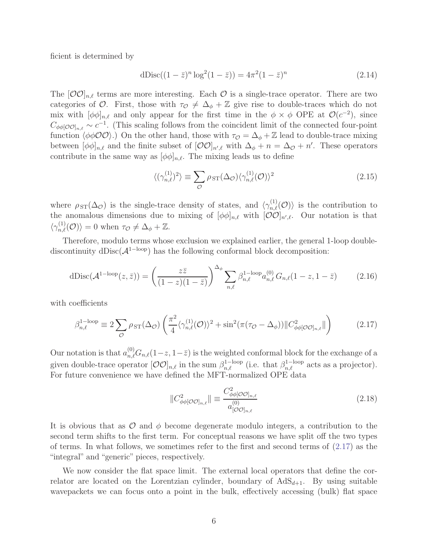ficient is determined by

dDisc
$$
((1 - \bar{z})^n \log^2(1 - \bar{z})) = 4\pi^2 (1 - \bar{z})^n
$$
 (2.14)

The  $[O O]_{n,\ell}$  terms are more interesting. Each O is a single-trace operator. There are two categories of O. First, those with  $\tau_{\mathcal{O}} \neq \Delta_{\phi} + \mathbb{Z}$  give rise to double-traces which do not mix with  $[\phi \phi]_{n,\ell}$  and only appear for the first time in the  $\phi \times \phi$  OPE at  $\mathcal{O}(c^{-2})$ , since  $C_{\phi\phi[O\mathcal{O}]_{n,\ell}} \sim c^{-1}$ . (This scaling follows from the coincident limit of the connected four-point function  $\langle \phi \phi \mathcal{O} \mathcal{O} \rangle$ .) On the other hand, those with  $\tau_{\mathcal{O}} = \Delta_{\phi} + \mathbb{Z}$  lead to double-trace mixing between  $[\phi \phi]_{n,\ell}$  and the finite subset of  $[\mathcal{O} \mathcal{O}]_{n',\ell}$  with  $\Delta_{\phi} + n = \Delta_{\mathcal{O}} + n'$ . These operators contribute in the same way as  $[\phi \phi]_{n,\ell}$ . The mixing leads us to define

$$
\langle (\gamma_{n,\ell}^{(1)})^2 \rangle \equiv \sum_{\mathcal{O}} \rho_{ST}(\Delta_{\mathcal{O}}) \langle \gamma_{n,\ell}^{(1)}(\mathcal{O}) \rangle^2 \tag{2.15}
$$

where  $\rho_{ST}(\Delta_{\mathcal{O}})$  is the single-trace density of states, and  $\langle \gamma_{n,\ell}^{(1)}(\mathcal{O}) \rangle$  is the contribution to the anomalous dimensions due to mixing of  $[\phi \phi]_{n,\ell}$  with  $[\mathcal{O} \mathcal{O}]_{n',\ell}$ . Our notation is that  $\langle \gamma_{n,\ell}^{(1)}(\mathcal{O})\rangle = 0$  when  $\tau_{\mathcal{O}} \neq \Delta_{\phi} + \mathbb{Z}$ .

Therefore, modulo terms whose exclusion we explained earlier, the general 1-loop doublediscontinuity dDisc( $\mathcal{A}^{\text{1-loop}}$ ) has the following conformal block decomposition:

<span id="page-6-1"></span>
$$
dDisc(\mathcal{A}^{1-loop}(z,\bar{z})) = \left(\frac{z\bar{z}}{(1-z)(1-\bar{z})}\right)^{\Delta_{\phi}} \sum_{n,\ell} \beta_{n,\ell}^{1-loop} a_{n,\ell}^{(0)} G_{n,\ell} (1-z, 1-\bar{z}) \tag{2.16}
$$

with coefficients

<span id="page-6-0"></span>
$$
\beta_{n,\ell}^{1-\text{loop}} \equiv 2 \sum_{\mathcal{O}} \rho_{ST}(\Delta_{\mathcal{O}}) \left( \frac{\pi^2}{4} \langle \gamma_{n,\ell}^{(1)}(\mathcal{O}) \rangle^2 + \sin^2(\pi(\tau_{\mathcal{O}} - \Delta_{\phi})) || C_{\phi\phi[\mathcal{O}\mathcal{O}]_{n,\ell}}^2 || \right)
$$
(2.17)

Our notation is that  $a_{n,\ell}^{(0)}G_{n,\ell}(1-z,1-\bar{z})$  is the weighted conformal block for the exchange of a given double-trace operator  $[O O]_{n,\ell}$  in the sum  $\beta_{n,\ell}^{1-loop}$  (i.e. that  $\beta_{n,\ell}^{1-loop}$  acts as a projector). For future convenience we have defined the MFT-normalized OPE data

$$
||C_{\phi\phi[O O]_{n,\ell}}^2|| \equiv \frac{C_{\phi\phi[O O]_{n,\ell}}^2}{a_{[O O]_{n,\ell}}^{(0)}} \tag{2.18}
$$

It is obvious that as  $\mathcal O$  and  $\phi$  become degenerate modulo integers, a contribution to the second term shifts to the first term. For conceptual reasons we have split off the two types of terms. In what follows, we sometimes refer to the first and second terms of [\(2.17\)](#page-6-0) as the "integral" and "generic" pieces, respectively.

We now consider the flat space limit. The external local operators that define the correlator are located on the Lorentzian cylinder, boundary of  $AdS_{d+1}$ . By using suitable wavepackets we can focus onto a point in the bulk, effectively accessing (bulk) flat space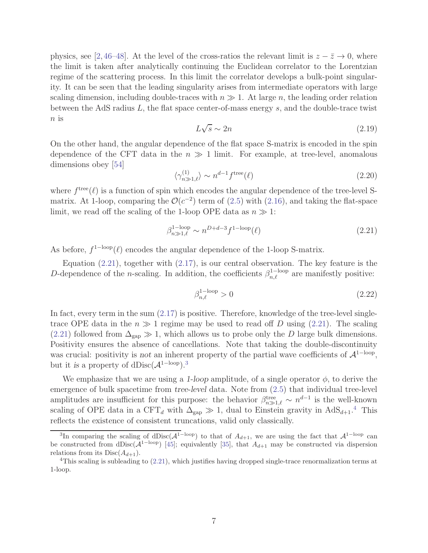physics, see [\[2,](#page-32-2)[46](#page-35-3)[–48\]](#page-35-7). At the level of the cross-ratios the relevant limit is  $z - \bar{z} \to 0$ , where the limit is taken after analytically continuing the Euclidean correlator to the Lorentzian regime of the scattering process. In this limit the correlator develops a bulk-point singularity. It can be seen that the leading singularity arises from intermediate operators with large scaling dimension, including double-traces with  $n \gg 1$ . At large n, the leading order relation between the AdS radius  $L$ , the flat space center-of-mass energy  $s$ , and the double-trace twist  $n$  is

<span id="page-7-2"></span>
$$
L\sqrt{s} \sim 2n\tag{2.19}
$$

On the other hand, the angular dependence of the flat space S-matrix is encoded in the spin dependence of the CFT data in the  $n \gg 1$  limit. For example, at tree-level, anomalous dimensions obey [\[54\]](#page-35-8)

$$
\langle \gamma_{n\gg 1,\ell}^{(1)} \rangle \sim n^{d-1} f^{\text{tree}}(\ell) \tag{2.20}
$$

where  $f^{\text{tree}}(\ell)$  is a function of spin which encodes the angular dependence of the tree-level Smatrix. At 1-loop, comparing the  $\mathcal{O}(c^{-2})$  term of [\(2.5\)](#page-4-1) with [\(2.16\)](#page-6-1), and taking the flat-space limit, we read off the scaling of the 1-loop OPE data as  $n \gg 1$ :

<span id="page-7-1"></span>
$$
\beta_{n\gg 1,\ell}^{1-\text{loop}} \sim n^{D+d-3} f^{1-\text{loop}}(\ell) \tag{2.21}
$$

As before,  $f^{1-loop}(\ell)$  encodes the angular dependence of the 1-loop S-matrix.

Equation  $(2.21)$ , together with  $(2.17)$ , is our central observation. The key feature is the D-dependence of the *n*-scaling. In addition, the coefficients  $\beta_{n,\ell}^{1-\text{loop}}$  are manifestly positive:

$$
\beta_{n,\ell}^{1-\text{loop}} > 0 \tag{2.22}
$$

In fact, every term in the sum  $(2.17)$  is positive. Therefore, knowledge of the tree-level singletrace OPE data in the  $n \gg 1$  regime may be used to read off D using [\(2.21\)](#page-7-1). The scaling [\(2.21\)](#page-7-1) followed from  $\Delta_{\text{gan}} \gg 1$ , which allows us to probe only the D large bulk dimensions. Positivity ensures the absence of cancellations. Note that taking the double-discontinuity was crucial: positivity is not an inherent property of the partial wave coefficients of  $\mathcal{A}^{\{1-\text{loop}\}}$ , but it is a property of dDisc( $\mathcal{A}^{\rm 1-loop}).^3$ 

We emphasize that we are using a 1-loop amplitude, of a single operator  $\phi$ , to derive the emergence of bulk spacetime from tree-level data. Note from [\(2.5\)](#page-4-1) that individual tree-level amplitudes are insufficient for this purpose: the behavior  $\beta_{n\gg 1,\ell}^{\text{tree}} \sim n^{d-1}$  is the well-known scaling of OPE data in a CFT<sub>d</sub> with  $\Delta_{\text{gap}} \gg 1$ , dual to Einstein gravity in  $AdS_{d+1}$ <sup>4</sup>. This reflects the existence of consistent truncations, valid only classically.

<span id="page-7-0"></span><sup>&</sup>lt;sup>3</sup>In comparing the scaling of dDisc( $\mathcal{A}^{\{1-\text{loop}\}}$  to that of  $A_{d+1}$ , we are using the fact that  $\mathcal{A}^{\{1-\text{loop}\}}$  can be constructed from dDisc( $\mathcal{A}^{\text{1-loop}}$ ) [\[45\]](#page-35-2); equivalently [\[35\]](#page-34-1), that  $A_{d+1}$  may be constructed via dispersion relations from its  $Disc(A_{d+1})$ .

 $4$ This scaling is subleading to  $(2.21)$ , which justifies having dropped single-trace renormalization terms at 1-loop.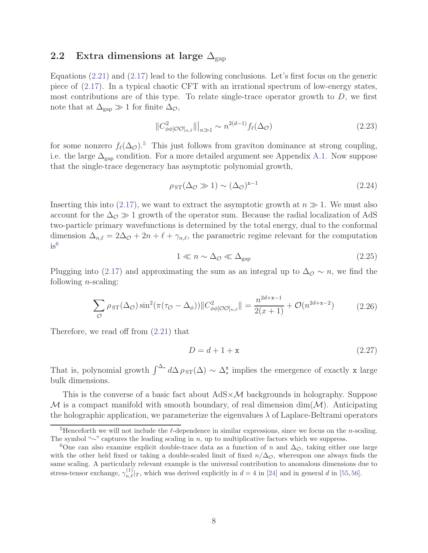### 2.2 Extra dimensions at large  $\Delta_{\rm gap}$

Equations [\(2.21\)](#page-7-1) and [\(2.17\)](#page-6-0) lead to the following conclusions. Let's first focus on the generic piece of [\(2.17\)](#page-6-0). In a typical chaotic CFT with an irrational spectrum of low-energy states, most contributions are of this type. To relate single-trace operator growth to  $D$ , we first note that at  $\Delta_{\rm gap} \gg 1$  for finite  $\Delta_{\mathcal{O}}$ ,

<span id="page-8-3"></span>
$$
||C^2_{\phi\phi[O O]_{n,\ell}}||_{n\gg1} \sim n^{2(d-1)} f_{\ell}(\Delta_O)
$$
\n(2.23)

for some nonzero  $f_{\ell}(\Delta_{\mathcal{O}})$ .<sup>5</sup> This just follows from graviton dominance at strong coupling, i.e. the large  $\Delta_{\rm gap}$  condition. For a more detailed argument see Appendix [A.1.](#page-24-0) Now suppose that the single-trace degeneracy has asymptotic polynomial growth,

<span id="page-8-1"></span>
$$
\rho_{ST}(\Delta_{\mathcal{O}} \gg 1) \sim (\Delta_{\mathcal{O}})^{\mathbf{x}-1} \tag{2.24}
$$

Inserting this into [\(2.17\)](#page-6-0), we want to extract the asymptotic growth at  $n \gg 1$ . We must also account for the  $\Delta_{\mathcal{O}} \gg 1$  growth of the operator sum. Because the radial localization of AdS two-particle primary wavefunctions is determined by the total energy, dual to the conformal dimension  $\Delta_{n,\ell} = 2\Delta_{\mathcal{O}} + 2n + \ell + \gamma_{n,\ell}$ , the parametric regime relevant for the computation  $is^6$ 

<span id="page-8-0"></span>
$$
1 \ll n \sim \Delta_{\mathcal{O}} \ll \Delta_{\text{gap}} \tag{2.25}
$$

Plugging into [\(2.17\)](#page-6-0) and approximating the sum as an integral up to  $\Delta_{\mathcal{O}} \sim n$ , we find the following  $n$ -scaling:

$$
\sum_{\mathcal{O}} \rho_{ST}(\Delta_{\mathcal{O}}) \sin^2(\pi(\tau_{\mathcal{O}} - \Delta_{\phi})) \| C_{\phi\phi[\mathcal{O}\mathcal{O}]_{n,\ell}}^2 \| = \frac{n^{2d+x-1}}{2(x+1)} + \mathcal{O}(n^{2d+x-2}) \tag{2.26}
$$

Therefore, we read off from [\(2.21\)](#page-7-1) that

<span id="page-8-2"></span>
$$
D = d + 1 + \mathbf{x} \tag{2.27}
$$

That is, polynomial growth  $\int^{\Delta_*} d\Delta \rho_{ST}(\Delta) \sim \Delta_*^{\mathbf{x}}$  implies the emergence of exactly x large bulk dimensions.

This is the converse of a basic fact about  $AdS \times \mathcal{M}$  backgrounds in holography. Suppose  $\mathcal M$  is a compact manifold with smooth boundary, of real dimension dim( $\mathcal M$ ). Anticipating the holographic application, we parameterize the eigenvalues  $\lambda$  of Laplace-Beltrami operators

<sup>&</sup>lt;sup>5</sup>Henceforth we will not include the  $\ell$ -dependence in similar expressions, since we focus on the *n*-scaling. The symbol "∼" captures the leading scaling in n, up to multiplicative factors which we suppress.

<sup>&</sup>lt;sup>6</sup>One can also examine explicit double-trace data as a function of n and  $\Delta_{\mathcal{O}}$ , taking either one large with the other held fixed or taking a double-scaled limit of fixed  $n/\Delta_{\mathcal{O}}$ , whereupon one always finds the same scaling. A particularly relevant example is the universal contribution to anomalous dimensions due to stress-tensor exchange,  $\gamma_{n,\ell}^{(1)}|_T$ , which was derived explicitly in  $d = 4$  in [\[24\]](#page-33-6) and in general d in [\[55,](#page-35-9) [56\]](#page-35-10).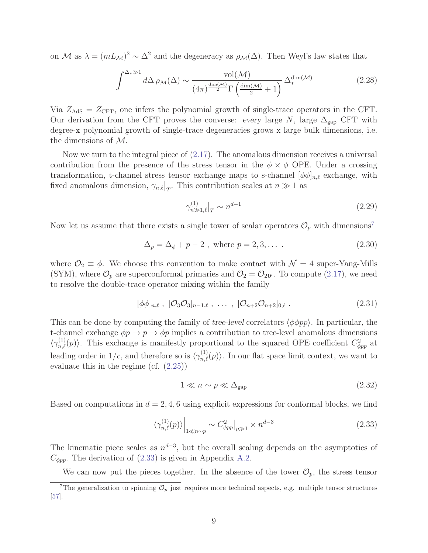on M as  $\lambda = (mL_{\mathcal{M}})^2 \sim \Delta^2$  and the degeneracy as  $\rho_{\mathcal{M}}(\Delta)$ . Then Weyl's law states that

$$
\int^{\Delta_{*}\gg1} d\Delta \,\rho_{\mathcal{M}}(\Delta) \sim \frac{\text{vol}(\mathcal{M})}{(4\pi)^{\frac{\text{dim}(\mathcal{M})}{2}}\Gamma\left(\frac{\text{dim}(\mathcal{M})}{2}+1\right)} \,\Delta_{*}^{\text{dim}(\mathcal{M})} \tag{2.28}
$$

Via  $Z_{\text{AdS}} = Z_{\text{CFT}}$ , one infers the polynomial growth of single-trace operators in the CFT. Our derivation from the CFT proves the converse: every large  $N$ , large  $\Delta_{\rm gap}$  CFT with degree-x polynomial growth of single-trace degeneracies grows x large bulk dimensions, i.e. the dimensions of M.

Now we turn to the integral piece of [\(2.17\)](#page-6-0). The anomalous dimension receives a universal contribution from the presence of the stress tensor in the  $\phi \times \phi$  OPE. Under a crossing transformation, t-channel stress tensor exchange maps to s-channel  $[\phi \phi]_{n,\ell}$  exchange, with fixed anomalous dimension,  $\gamma_{n,\ell}|_T$ . This contribution scales at  $n \gg 1$  as

$$
\gamma_{n\gg 1,\ell}^{(1)}\big|_{T} \sim n^{d-1} \tag{2.29}
$$

Now let us assume that there exists a single tower of scalar operators  $\mathcal{O}_p$  with dimensions<sup>7</sup>

$$
\Delta_p = \Delta_\phi + p - 2 \text{ , where } p = 2, 3, \dots \text{ .}
$$
 (2.30)

where  $\mathcal{O}_2 \equiv \phi$ . We choose this convention to make contact with  $\mathcal{N} = 4$  super-Yang-Mills (SYM), where  $\mathcal{O}_p$  are superconformal primaries and  $\mathcal{O}_2 = \mathcal{O}_{20'}$ . To compute [\(2.17\)](#page-6-0), we need to resolve the double-trace operator mixing within the family

$$
[\phi \phi]_{n,\ell} , [\mathcal{O}_3 \mathcal{O}_3]_{n-1,\ell} , \ldots , [\mathcal{O}_{n+2} \mathcal{O}_{n+2}]_{0,\ell} . \qquad (2.31)
$$

This can be done by computing the family of tree-level correlators  $\langle \phi \phi pp \rangle$ . In particular, the t-channel exchange  $\phi p \to p \to \phi p$  implies a contribution to tree-level anomalous dimensions  $\langle \gamma_{n,\ell}^{(1)}(p) \rangle$ . This exchange is manifestly proportional to the squared OPE coefficient  $C_{\phi pp}^2$  at leading order in  $1/c$ , and therefore so is  $\langle \gamma_{n,\ell}^{(1)}(p) \rangle$ . In our flat space limit context, we want to evaluate this in the regime (cf. [\(2.25\)](#page-8-0))

<span id="page-9-1"></span>
$$
1 \ll n \sim p \ll \Delta_{\rm gap} \tag{2.32}
$$

Based on computations in  $d = 2, 4, 6$  using explicit expressions for conformal blocks, we find

<span id="page-9-0"></span>
$$
\langle \gamma_{n,\ell}^{(1)}(p) \rangle \Big|_{1 \ll n \sim p} \sim C_{\phi pp}^2 \Big|_{p \gg 1} \times n^{d-3} \tag{2.33}
$$

The kinematic piece scales as  $n^{d-3}$ , but the overall scaling depends on the asymptotics of  $C_{\phi pp}$ . The derivation of [\(2.33\)](#page-9-0) is given in Appendix [A.2.](#page-24-1)

We can now put the pieces together. In the absence of the tower  $\mathcal{O}_p$ , the stress tensor

<sup>&</sup>lt;sup>7</sup>The generalization to spinning  $\mathcal{O}_p$  just requires more technical aspects, e.g. multiple tensor structures [\[57\]](#page-35-11).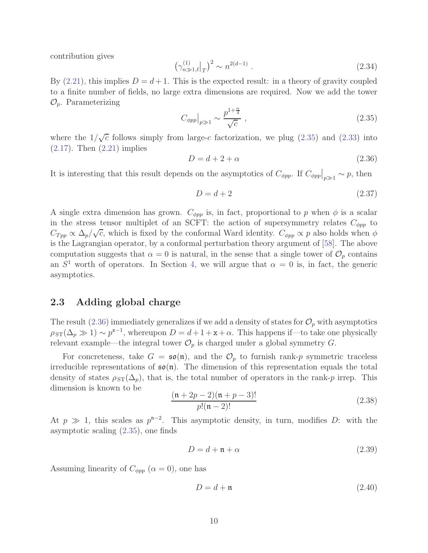contribution gives

$$
\left(\gamma_{n\gg 1,\ell}^{(1)}\big|_{T}\right)^2 \sim n^{2(d-1)}\ .\tag{2.34}
$$

By  $(2.21)$ , this implies  $D = d + 1$ . This is the expected result: in a theory of gravity coupled to a finite number of fields, no large extra dimensions are required. Now we add the tower  $\mathcal{O}_p$ . Parameterizing

<span id="page-10-1"></span>
$$
C_{\phi pp}|_{p\gg 1} \sim \frac{p^{1+\frac{\alpha}{4}}}{\sqrt{c}} \,,\tag{2.35}
$$

where the  $1/\sqrt{c}$  follows simply from large-c factorization, we plug [\(2.35\)](#page-10-1) and [\(2.33\)](#page-9-0) into  $(2.17)$ . Then  $(2.21)$  implies

<span id="page-10-2"></span>
$$
D = d + 2 + \alpha \tag{2.36}
$$

It is interesting that this result depends on the asymptotics of  $C_{\phi pp}$ . If  $C_{\phi pp}\big|_{p\gg 1} \sim p$ , then

<span id="page-10-4"></span>
$$
D = d + 2 \tag{2.37}
$$

A single extra dimension has grown.  $C_{\phi pp}$  is, in fact, proportional to p when  $\phi$  is a scalar in the stress tensor multiplet of an SCFT: the action of supersymmetry relates  $C_{\phi pp}$  to  $C_{Tpp} \propto \Delta_p/\sqrt{c}$ , which is fixed by the conformal Ward identity.  $C_{\phi pp} \propto p$  also holds when  $\phi$ is the Lagrangian operator, by a conformal perturbation theory argument of [\[58\]](#page-35-12). The above computation suggests that  $\alpha = 0$  is natural, in the sense that a single tower of  $\mathcal{O}_p$  contains an  $S<sup>1</sup>$  worth of operators. In Section [4,](#page-17-0) we will argue that  $\alpha = 0$  is, in fact, the generic asymptotics.

### <span id="page-10-0"></span>2.3 Adding global charge

The result [\(2.36\)](#page-10-2) immediately generalizes if we add a density of states for  $\mathcal{O}_p$  with asymptotics  $\rho_{ST}(\Delta_p \gg 1) \sim p^{x-1}$ , whereupon  $D = d + 1 + x + \alpha$ . This happens if—to take one physically relevant example—the integral tower  $\mathcal{O}_p$  is charged under a global symmetry G.

For concreteness, take  $G = \mathfrak{so}(\mathfrak{n})$ , and the  $\mathcal{O}_p$  to furnish rank-p symmetric traceless irreducible representations of  $\mathfrak{so}(n)$ . The dimension of this representation equals the total density of states  $\rho_{ST}(\Delta_p)$ , that is, the total number of operators in the rank-p irrep. This dimension is known to be

$$
\frac{(n+2p-2)(n+p-3)!}{p!(n-2)!}
$$
\n(2.38)

At  $p \gg 1$ , this scales as  $p^{n-2}$ . This asymptotic density, in turn, modifies D: with the asymptotic scaling [\(2.35\)](#page-10-1), one finds

$$
D = d + \mathfrak{n} + \alpha \tag{2.39}
$$

Assuming linearity of  $C_{\phi pp}$  ( $\alpha = 0$ ), one has

<span id="page-10-3"></span>
$$
D = d + \mathfrak{n} \tag{2.40}
$$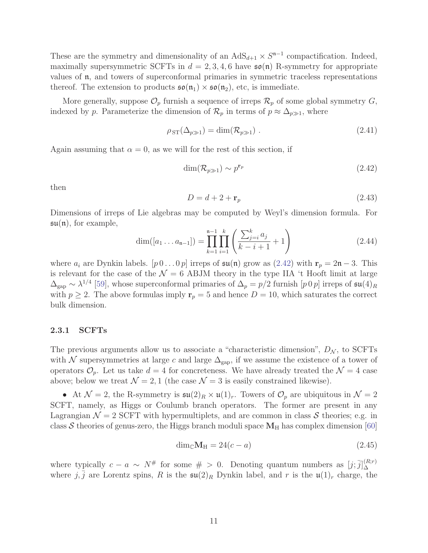These are the symmetry and dimensionality of an  $AdS_{d+1} \times S^{n-1}$  compactification. Indeed, maximally supersymmetric SCFTs in  $d = 2, 3, 4, 6$  have  $\mathfrak{so}(n)$  R-symmetry for appropriate values of n, and towers of superconformal primaries in symmetric traceless representations thereof. The extension to products  $\mathfrak{so}(\mathfrak{n}_1) \times \mathfrak{so}(\mathfrak{n}_2)$ , etc, is immediate.

More generally, suppose  $\mathcal{O}_p$  furnish a sequence of irreps  $\mathcal{R}_p$  of some global symmetry  $G$ , indexed by p. Parameterize the dimension of  $\mathcal{R}_p$  in terms of  $p \approx \Delta_{p\gg 1}$ , where

$$
\rho_{ST}(\Delta_{p\gg 1}) = \dim(\mathcal{R}_{p\gg 1}) . \qquad (2.41)
$$

Again assuming that  $\alpha = 0$ , as we will for the rest of this section, if

<span id="page-11-0"></span>
$$
\dim(\mathcal{R}_{p\gg 1}) \sim p^{\mathbf{r}_p} \tag{2.42}
$$

then

<span id="page-11-1"></span>
$$
D = d + 2 + \mathbf{r}_p \tag{2.43}
$$

Dimensions of irreps of Lie algebras may be computed by Weyl's dimension formula. For  $\mathfrak{su}(n)$ , for example,

$$
\dim([a_1 \dots a_{n-1}]) = \prod_{k=1}^{n-1} \prod_{i=1}^k \left( \frac{\sum_{j=i}^k a_j}{k-i+1} + 1 \right)
$$
 (2.44)

where  $a_i$  are Dynkin labels.  $[p\,0\ldots 0\,p]$  irreps of  $\mathfrak{su}(\mathfrak{n})$  grow as  $(2.42)$  with  $\mathbf{r}_p = 2\mathfrak{n} - 3$ . This is relevant for the case of the  $\mathcal{N} = 6$  ABJM theory in the type IIA 't Hooft limit at large  $\Delta_{\rm gap} \sim \lambda^{1/4}$  [\[59\]](#page-36-0), whose superconformal primaries of  $\Delta_p = p/2$  furnish [p 0 p] irreps of  $\mathfrak{su}(4)_R$ with  $p \ge 2$ . The above formulas imply  $\mathbf{r}_p = 5$  and hence  $D = 10$ , which saturates the correct bulk dimension.

#### 2.3.1 SCFTs

The previous arguments allow us to associate a "characteristic dimension",  $D_N$ , to SCFTs with N supersymmetries at large c and large  $\Delta_{\text{gap}}$ , if we assume the existence of a tower of operators  $\mathcal{O}_p$ . Let us take  $d = 4$  for concreteness. We have already treated the  $\mathcal{N} = 4$  case above; below we treat  $\mathcal{N} = 2, 1$  (the case  $\mathcal{N} = 3$  is easily constrained likewise).

• At  $\mathcal{N} = 2$ , the R-symmetry is  $\mathfrak{su}(2)_R \times \mathfrak{u}(1)_r$ . Towers of  $\mathcal{O}_p$  are ubiquitous in  $\mathcal{N} = 2$ SCFT, namely, as Higgs or Coulumb branch operators. The former are present in any Lagrangian  $\mathcal{N} = 2$  SCFT with hypermultiplets, and are common in class S theories; e.g. in class S theories of genus-zero, the Higgs branch moduli space  $M_H$  has complex dimension [\[60\]](#page-36-1)

$$
\dim_{\mathbb{C}} \mathbf{M}_{\mathrm{H}} = 24(c - a) \tag{2.45}
$$

where typically  $c - a \sim N^{\#}$  for some  $\# > 0$ . Denoting quantum numbers as  $[j; \bar{j}]_{\Delta}^{(R;r)}$ ∆ where  $j, \bar{j}$  are Lorentz spins, R is the  $\mathfrak{su}(2)_R$  Dynkin label, and r is the  $\mathfrak{u}(1)_r$  charge, the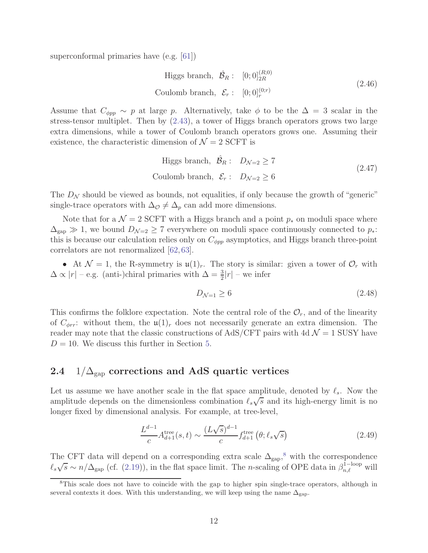superconformal primaries have (e.g. [\[61\]](#page-36-2))

Higgs branch, 
$$
\hat{\mathcal{B}}_R
$$
:  $[0; 0]_{2R}^{(R;0)}$   
Coulomb branch,  $\mathcal{E}_r$ :  $[0; 0]_r^{(0;r)}$  (2.46)

Assume that  $C_{\phi pp} \sim p$  at large p. Alternatively, take  $\phi$  to be the  $\Delta = 3$  scalar in the stress-tensor multiplet. Then by [\(2.43\)](#page-11-1), a tower of Higgs branch operators grows two large extra dimensions, while a tower of Coulomb branch operators grows one. Assuming their existence, the characteristic dimension of  $\mathcal{N}=2$  SCFT is

Higgs branch, 
$$
\hat{\mathcal{B}}_R
$$
:  $D_{\mathcal{N}=2} \ge 7$   
Coulomb branch,  $\mathcal{E}_r$ :  $D_{\mathcal{N}=2} \ge 6$  (2.47)

The  $D_N$  should be viewed as bounds, not equalities, if only because the growth of "generic" single-trace operators with  $\Delta_{\mathcal{O}} \neq \Delta_p$  can add more dimensions.

Note that for a  $\mathcal{N} = 2$  SCFT with a Higgs branch and a point  $p_*$  on moduli space where  $\Delta_{\rm gap} \gg 1$ , we bound  $D_{\mathcal{N}=2} \geq 7$  everywhere on moduli space continuously connected to  $p_*$ : this is because our calculation relies only on  $C_{\phi pp}$  asymptotics, and Higgs branch three-point correlators are not renormalized [\[62,](#page-36-3) [63\]](#page-36-4).

• At  $\mathcal{N} = 1$ , the R-symmetry is  $\mathfrak{u}(1)_r$ . The story is similar: given a tower of  $\mathcal{O}_r$  with  $\Delta \propto |r|$  – e.g. (anti-)chiral primaries with  $\Delta = \frac{3}{2}|r|$  – we infer

<span id="page-12-1"></span>
$$
D_{\mathcal{N}=1} \ge 6\tag{2.48}
$$

<span id="page-12-0"></span>This confirms the folklore expectation. Note the central role of the  $\mathcal{O}_r$ , and of the linearity of  $C_{\phi r}$ : without them, the  $\mathfrak{u}(1)_r$  does not necessarily generate an extra dimension. The reader may note that the classic constructions of AdS/CFT pairs with 4d  $\mathcal{N}=1$  SUSY have  $D = 10$ . We discuss this further in Section [5.](#page-20-0)

### 2.4  $1/\Delta_{\rm gap}$  corrections and AdS quartic vertices

Let us assume we have another scale in the flat space amplitude, denoted by  $\ell_s$ . Now the amplitude depends on the dimensionless combination  $\ell_s\sqrt{s}$  and its high-energy limit is no longer fixed by dimensional analysis. For example, at tree-level,

$$
\frac{L^{d-1}}{c}A_{d+1}^{\text{tree}}(s,t) \sim \frac{(L\sqrt{s})^{d-1}}{c} f_{d+1}^{\text{tree}}\left(\theta; \ell_s \sqrt{s}\right)
$$
\n(2.49)

The CFT data will depend on a corresponding extra scale  $\Delta_{\text{gap}}$ ,<sup>8</sup> with the correspondence  $\ell_s\sqrt{s} \sim n/\Delta_{\rm gap}$  (cf. [\(2.19\)](#page-7-2)), in the flat space limit. The n-scaling of OPE data in  $\beta_{n,\ell}^{\rm 1-loop}$  will

<sup>&</sup>lt;sup>8</sup>This scale does not have to coincide with the gap to higher spin single-trace operators, although in several contexts it does. With this understanding, we will keep using the name  $\Delta_{\text{gap}}$ .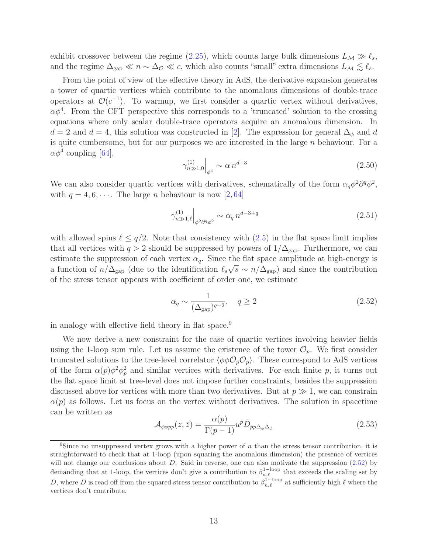exhibit crossover between the regime [\(2.25\)](#page-8-0), which counts large bulk dimensions  $L_M \gg l_s$ , and the regime  $\Delta_{\rm gap} \ll n \sim \Delta_{\mathcal{O}} \ll c$ , which also counts "small" extra dimensions  $L_{\mathcal{M}} \lesssim \ell_s$ .

From the point of view of the effective theory in AdS, the derivative expansion generates a tower of quartic vertices which contribute to the anomalous dimensions of double-trace operators at  $\mathcal{O}(c^{-1})$ . To warmup, we first consider a quartic vertex without derivatives,  $\alpha \phi^4$ . From the CFT perspective this corresponds to a 'truncated' solution to the crossing equations where only scalar double-trace operators acquire an anomalous dimension. In  $d = 2$  and  $d = 4$ , this solution was constructed in [\[2\]](#page-32-2). The expression for general  $\Delta_{\phi}$  and d is quite cumbersome, but for our purposes we are interested in the large  $n$  behaviour. For a  $\alpha \phi^4$  coupling [\[64\]](#page-36-5),

$$
\gamma_{n \gg 1,0}^{(1)} \Big|_{\phi^4} \sim \alpha \, n^{d-3} \tag{2.50}
$$

We can also consider quartic vertices with derivatives, schematically of the form  $\alpha_q \phi^2 \partial^q \phi^2$ , with  $q = 4, 6, \dots$ . The large *n* behaviour is now [\[2,](#page-32-2)[64\]](#page-36-5)

$$
\gamma_{n\gg 1,\ell}^{(1)}\Big|_{\phi^2\partial^q\phi^2} \sim \alpha_q \, n^{d-3+q} \tag{2.51}
$$

with allowed spins  $\ell \leq q/2$ . Note that consistency with  $(2.5)$  in the flat space limit implies that all vertices with  $q > 2$  should be suppressed by powers of  $1/\Delta_{\rm gap}$ . Furthermore, we can estimate the suppression of each vertex  $\alpha_q$ . Since the flat space amplitude at high-energy is a function of  $n/\Delta_{\text{gap}}$  (due to the identification  $\ell_s\sqrt{s} \sim n/\Delta_{\text{gap}}$ ) and since the contribution of the stress tensor appears with coefficient of order one, we estimate

<span id="page-13-0"></span>
$$
\alpha_q \sim \frac{1}{(\Delta_{\rm gap})^{q-2}}, \quad q \ge 2 \tag{2.52}
$$

in analogy with effective field theory in flat space.<sup>9</sup>

We now derive a new constraint for the case of quartic vertices involving heavier fields using the 1-loop sum rule. Let us assume the existence of the tower  $\mathcal{O}_p$ . We first consider truncated solutions to the tree-level correlator  $\langle \phi \phi \mathcal{O}_p \mathcal{O}_p \rangle$ . These correspond to AdS vertices of the form  $\alpha(p)\phi^2\phi_p^2$  and similar vertices with derivatives. For each finite p, it turns out the flat space limit at tree-level does not impose further constraints, besides the suppression discussed above for vertices with more than two derivatives. But at  $p \gg 1$ , we can constrain  $\alpha(p)$  as follows. Let us focus on the vertex without derivatives. The solution in spacetime can be written as

$$
\mathcal{A}_{\phi\phi pp}(z,\bar{z}) = \frac{\alpha(p)}{\Gamma(p-1)} u^p \bar{D}_{pp\Delta_{\phi}\Delta_{\phi}} \tag{2.53}
$$

<sup>&</sup>lt;sup>9</sup>Since no unsuppressed vertex grows with a higher power of n than the stress tensor contribution, it is straightforward to check that at 1-loop (upon squaring the anomalous dimension) the presence of vertices will not change our conclusions about  $D$ . Said in reverse, one can also motivate the suppression  $(2.52)$  by demanding that at 1-loop, the vertices don't give a contribution to  $\beta_{n,\ell}^{1-\text{loop}}$  that exceeds the scaling set by D, where D is read off from the squared stress tensor contribution to  $\beta_{n,\ell}^{\hat{1}-\text{loop}}$  at sufficiently high  $\ell$  where the vertices don't contribute.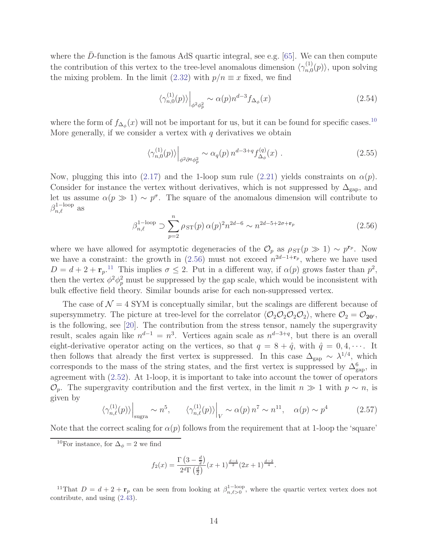where the D-function is the famous AdS quartic integral, see e.g.  $[65]$ . We can then compute the contribution of this vertex to the tree-level anomalous dimension  $\langle \gamma_{n,0}^{(1)} \rangle$  $\langle n,0 \rangle$ , upon solving the mixing problem. In the limit [\(2.32\)](#page-9-1) with  $p/n \equiv x$  fixed, we find

$$
\langle \gamma_{n,0}^{(1)}(p) \rangle \Big|_{\phi^2 \phi_p^2} \sim \alpha(p) n^{d-3} f_{\Delta_\phi}(x) \tag{2.54}
$$

where the form of  $f_{\Delta_{\phi}}(x)$  will not be important for us, but it can be found for specific cases.<sup>10</sup> More generally, if we consider a vertex with  $q$  derivatives we obtain

$$
\left\langle \gamma_{n,0}^{(1)}(p) \right\rangle \Big|_{\phi^2 \partial^q \phi_p^2} \sim \alpha_q(p) \, n^{d-3+q} f_{\Delta_\phi}^{(q)}(x) \tag{2.55}
$$

Now, plugging this into [\(2.17\)](#page-6-0) and the 1-loop sum rule [\(2.21\)](#page-7-1) yields constraints on  $\alpha(p)$ . Consider for instance the vertex without derivatives, which is not suppressed by  $\Delta_{\rm gap}$ , and let us assume  $\alpha(p \gg 1) \sim p^{\sigma}$ . The square of the anomalous dimension will contribute to  $\beta_{n,\ell}^{\rm 1-loop}$  as

<span id="page-14-0"></span>
$$
\beta_{n,\ell}^{1-\text{loop}} \supset \sum_{p=2}^{n} \rho_{ST}(p) \,\alpha(p)^2 n^{2d-6} \sim n^{2d-5+2\sigma+\mathbf{r}_p} \tag{2.56}
$$

where we have allowed for asymptotic degeneracies of the  $\mathcal{O}_p$  as  $\rho_{ST}(p \gg 1) \sim p^{\mathbf{r}_p}$ . Now we have a constraint: the growth in  $(2.56)$  must not exceed  $n^{2d-1+r_p}$ , where we have used  $D = d + 2 + r_p$ .<sup>11</sup> This implies  $\sigma \leq 2$ . Put in a different way, if  $\alpha(p)$  grows faster than  $p^2$ , then the vertex  $\phi^2 \phi_p^2$  must be suppressed by the gap scale, which would be inconsistent with bulk effective field theory. Similar bounds arise for each non-suppressed vertex.

The case of  $\mathcal{N} = 4$  SYM is conceptually similar, but the scalings are different because of supersymmetry. The picture at tree-level for the correlator  $\langle \mathcal{O}_2 \mathcal{O}_2 \mathcal{O}_2 \mathcal{O}_2 \rangle$ , where  $\mathcal{O}_2 = \mathcal{O}_{20'}$ , is the following, see [\[20\]](#page-33-0). The contribution from the stress tensor, namely the supergravity result, scales again like  $n^{d-1} = n^3$ . Vertices again scale as  $n^{d-3+q}$ , but there is an overall eight-derivative operator acting on the vertices, so that  $q = 8 + \hat{q}$ , with  $\hat{q} = 0, 4, \cdots$ . It then follows that already the first vertex is suppressed. In this case  $\Delta_{\rm gap} \sim \lambda^{1/4}$ , which corresponds to the mass of the string states, and the first vertex is suppressed by  $\Delta_{\text{gap}}^6$ , in agreement with [\(2.52\)](#page-13-0). At 1-loop, it is important to take into account the tower of operators  $\mathcal{O}_p$ . The supergravity contribution and the first vertex, in the limit  $n \gg 1$  with  $p \sim n$ , is given by

$$
\langle \gamma_{n,\ell}^{(1)}(p) \rangle \Big|_{\text{sugra}} \sim n^5, \qquad \langle \gamma_{n,\ell}^{(1)}(p) \rangle \Big|_{V} \sim \alpha(p) n^7 \sim n^{11}, \quad \alpha(p) \sim p^4 \tag{2.57}
$$

Note that the correct scaling for  $\alpha(p)$  follows from the requirement that at 1-loop the 'square'

<sup>10</sup>For instance, for  $\Delta_{\phi} = 2$  we find

$$
f_2(x) = \frac{\Gamma\left(3 - \frac{d}{2}\right)}{2^d \Gamma\left(\frac{d}{2}\right)} (x+1)^{\frac{d-4}{2}} (2x+1)^{\frac{d-2}{4}}.
$$

<sup>11</sup>That  $D = d + 2 + \mathbf{r}_p$  can be seen from looking at  $\beta_{n,\ell>0}^{1-\text{loop}}$ , where the quartic vertex vertex does not contribute, and using [\(2.43\)](#page-11-1).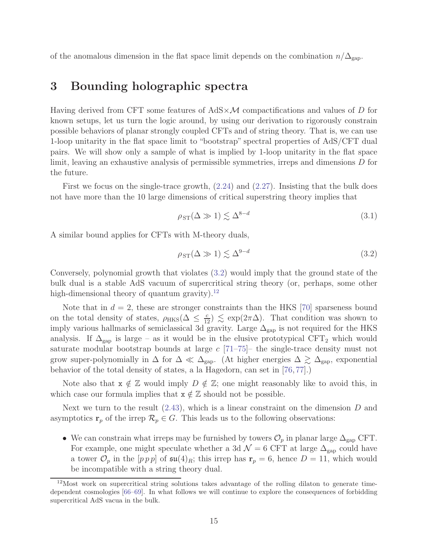<span id="page-15-0"></span>of the anomalous dimension in the flat space limit depends on the combination  $n/\Delta_{\rm gap}$ .

## 3 Bounding holographic spectra

Having derived from CFT some features of  $AdS \times \mathcal{M}$  compactifications and values of D for known setups, let us turn the logic around, by using our derivation to rigorously constrain possible behaviors of planar strongly coupled CFTs and of string theory. That is, we can use 1-loop unitarity in the flat space limit to "bootstrap" spectral properties of AdS/CFT dual pairs. We will show only a sample of what is implied by 1-loop unitarity in the flat space limit, leaving an exhaustive analysis of permissible symmetries, irreps and dimensions D for the future.

First we focus on the single-trace growth, [\(2.24\)](#page-8-1) and [\(2.27\)](#page-8-2). Insisting that the bulk does not have more than the 10 large dimensions of critical superstring theory implies that

$$
\rho_{ST}(\Delta \gg 1) \lesssim \Delta^{8-d} \tag{3.1}
$$

A similar bound applies for CFTs with M-theory duals,

<span id="page-15-1"></span>
$$
\rho_{ST}(\Delta \gg 1) \lesssim \Delta^{9-d} \tag{3.2}
$$

Conversely, polynomial growth that violates [\(3.2\)](#page-15-1) would imply that the ground state of the bulk dual is a stable AdS vacuum of supercritical string theory (or, perhaps, some other high-dimensional theory of quantum gravity). $^{12}$ 

Note that in  $d = 2$ , these are stronger constraints than the HKS [\[70\]](#page-36-7) sparseness bound on the total density of states,  $\rho_{HKS}(\Delta \leq \frac{c}{12}) \lesssim \exp(2\pi\Delta)$ . That condition was shown to imply various hallmarks of semiclassical 3d gravity. Large  $\Delta_{\text{gap}}$  is not required for the HKS analysis. If  $\Delta_{\rm gap}$  is large – as it would be in the elusive prototypical CFT<sub>2</sub> which would saturate modular bootstrap bounds at large  $c$  [\[71](#page-36-8)[–75\]](#page-37-0)– the single-trace density must not grow super-polynomially in  $\Delta$  for  $\Delta \ll \Delta_{\rm gap}$ . (At higher energies  $\Delta \gtrsim \Delta_{\rm gap}$ , exponential behavior of the total density of states, a la Hagedorn, can set in [\[76,](#page-37-1) [77\]](#page-37-2).)

Note also that  $x \notin \mathbb{Z}$  would imply  $D \notin \mathbb{Z}$ ; one might reasonably like to avoid this, in which case our formula implies that  $x \notin \mathbb{Z}$  should not be possible.

Next we turn to the result  $(2.43)$ , which is a linear constraint on the dimension D and asymptotics  $\mathbf{r}_p$  of the irrep  $\mathcal{R}_p \in G$ . This leads us to the following observations:

• We can constrain what irreps may be furnished by towers  $\mathcal{O}_p$  in planar large  $\Delta_{\rm gap}$  CFT. For example, one might speculate whether a 3d  $\mathcal{N}=6$  CFT at large  $\Delta_{\rm gap}$  could have a tower  $\mathcal{O}_p$  in the  $[p \, p \, p]$  of  $\mathfrak{su}(4)_R$ ; this irrep has  $\mathbf{r}_p = 6$ , hence  $D = 11$ , which would be incompatible with a string theory dual.

<sup>&</sup>lt;sup>12</sup>Most work on supercritical string solutions takes advantage of the rolling dilaton to generate timedependent cosmologies [\[66](#page-36-9)[–69\]](#page-36-10). In what follows we will continue to explore the consequences of forbidding supercritical AdS vacua in the bulk.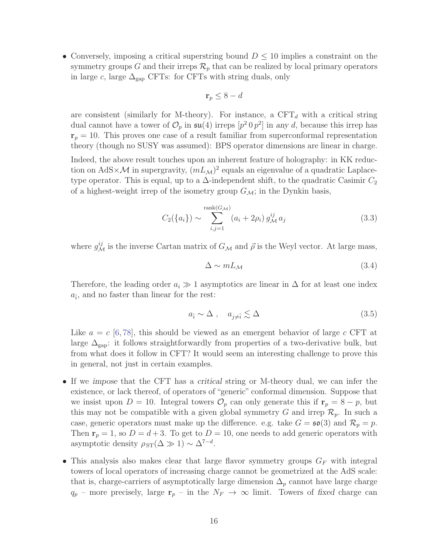• Conversely, imposing a critical superstring bound  $D \leq 10$  implies a constraint on the symmetry groups G and their irreps  $\mathcal{R}_p$  that can be realized by local primary operators in large c, large  $\Delta_{\rm gap}$  CFTs: for CFTs with string duals, only

$$
\mathbf{r}_p \le 8 - d
$$

are consistent (similarly for M-theory). For instance, a  $CFT<sub>d</sub>$  with a critical string dual cannot have a tower of  $\mathcal{O}_p$  in  $\mathfrak{su}(4)$  irreps  $[p^2 \, 0 \, p^2]$  in any d, because this irrep has  $r_p = 10$ . This proves one case of a result familiar from superconformal representation theory (though no SUSY was assumed): BPS operator dimensions are linear in charge. Indeed, the above result touches upon an inherent feature of holography: in KK reduction on AdS $\times$ *M* in supergravity,  $(mL_M)^2$  equals an eigenvalue of a quadratic Laplacetype operator. This is equal, up to a  $\Delta$ -independent shift, to the quadratic Casimir  $C_2$ of a highest-weight irrep of the isometry group  $G_{\mathcal{M}}$ ; in the Dynkin basis,

<span id="page-16-0"></span>
$$
C_2({a_i}) \sim \sum_{i,j=1}^{\text{rank}(G_{\mathcal{M}})} (a_i + 2\rho_i) g_{\mathcal{M}}^{ij} a_j
$$
 (3.3)

where  $g_{\mathcal{M}}^{ij}$  is the inverse Cartan matrix of  $G_{\mathcal{M}}$  and  $\vec{\rho}$  is the Weyl vector. At large mass,

$$
\Delta \sim mL_{\mathcal{M}} \tag{3.4}
$$

Therefore, the leading order  $a_i \gg 1$  asymptotics are linear in  $\Delta$  for at least one index  $a_{\hat{i}}$ , and no faster than linear for the rest:

$$
a_{\hat{i}} \sim \Delta \ , \quad a_{j \neq \hat{i}} \lesssim \Delta \tag{3.5}
$$

Like  $a = c$  [\[6,](#page-32-3)[78\]](#page-37-3), this should be viewed as an emergent behavior of large c CFT at large  $\Delta_{\text{gap}}$ : it follows straightforwardly from properties of a two-derivative bulk, but from what does it follow in CFT? It would seem an interesting challenge to prove this in general, not just in certain examples.

- If we impose that the CFT has a critical string or M-theory dual, we can infer the existence, or lack thereof, of operators of "generic" conformal dimension. Suppose that we insist upon  $D = 10$ . Integral towers  $\mathcal{O}_p$  can only generate this if  $\mathbf{r}_p = 8 - p$ , but this may not be compatible with a given global symmetry G and irrep  $\mathcal{R}_p$ . In such a case, generic operators must make up the difference. e.g. take  $G = \mathfrak{so}(3)$  and  $\mathcal{R}_p = p$ . Then  $r_p = 1$ , so  $D = d + 3$ . To get to  $D = 10$ , one needs to add generic operators with asymptotic density  $\rho_{ST}(\Delta \gg 1) \sim \Delta^{7-d}$ .
- This analysis also makes clear that large flavor symmetry groups  $G_F$  with integral towers of local operators of increasing charge cannot be geometrized at the AdS scale: that is, charge-carriers of asymptotically large dimension  $\Delta_p$  cannot have large charge  $q_p$  – more precisely, large  $\mathbf{r}_p$  – in the  $N_F \to \infty$  limit. Towers of fixed charge can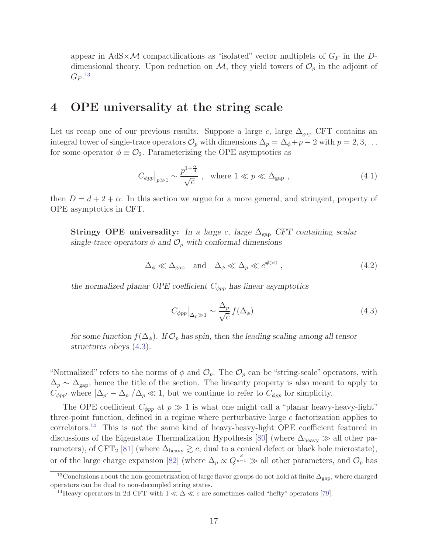appear in AdS $\times$ M compactifications as "isolated" vector multiplets of  $G_F$  in the Ddimensional theory. Upon reduction on  $\mathcal{M}$ , they yield towers of  $\mathcal{O}_p$  in the adjoint of  $G_F$ .<sup>13</sup>

### <span id="page-17-0"></span>4 OPE universality at the string scale

Let us recap one of our previous results. Suppose a large c, large  $\Delta_{\rm gap}$  CFT contains an integral tower of single-trace operators  $\mathcal{O}_p$  with dimensions  $\Delta_p = \Delta_{\phi} + p - 2$  with  $p = 2, 3, \ldots$ for some operator  $\phi \equiv \mathcal{O}_2$ . Parameterizing the OPE asymptotics as

$$
C_{\phi pp}|_{p\gg 1} \sim \frac{p^{1+\frac{\alpha}{4}}}{\sqrt{c}} , \quad \text{where } 1 \ll p \ll \Delta_{\text{gap}} , \tag{4.1}
$$

then  $D = d + 2 + \alpha$ . In this section we argue for a more general, and stringent, property of OPE asymptotics in CFT.

**Stringy OPE universality:** In a large c, large  $\Delta_{\text{gap}}$  CFT containing scalar single-trace operators  $\phi$  and  $\mathcal{O}_p$  with conformal dimensions

$$
\Delta_{\phi} \ll \Delta_{\text{gap}} \quad \text{and} \quad \Delta_{\phi} \ll \Delta_p \ll c^{\#>0} \,, \tag{4.2}
$$

the normalized planar OPE coefficient  $C_{\phi pp}$  has linear asymptotics

<span id="page-17-1"></span>
$$
C_{\phi pp}|_{\Delta_p \gg 1} \sim \frac{\Delta_p}{\sqrt{c}} f(\Delta_\phi)
$$
\n(4.3)

for some function  $f(\Delta_{\phi})$ . If  $\mathcal{O}_p$  has spin, then the leading scaling among all tensor structures obeys [\(4.3\)](#page-17-1).

"Normalized" refers to the norms of  $\phi$  and  $\mathcal{O}_p$ . The  $\mathcal{O}_p$  can be "string-scale" operators, with  $\Delta_p \sim \Delta_{\rm gap}$ , hence the title of the section. The linearity property is also meant to apply to  $C_{\phi pp'}$  where  $|\Delta_{p'} - \Delta_p|/\Delta_p \ll 1$ , but we continue to refer to  $C_{\phi pp}$  for simplicity.

The OPE coefficient  $C_{\phi pp}$  at  $p \gg 1$  is what one might call a "planar heavy-heavy-light" three-point function, defined in a regime where perturbative large  $c$  factorization applies to correlators.<sup>14</sup> This is not the same kind of heavy-heavy-light OPE coefficient featured in discussions of the Eigenstate Thermalization Hypothesis [\[80\]](#page-37-4) (where  $\Delta_{\text{heavy}}$   $\gg$  all other pa-rameters), of CFT<sub>2</sub> [\[81\]](#page-37-5) (where  $\Delta_{\text{heavy}} \gtrsim c$ , dual to a conical defect or black hole microstate), or of the large charge expansion [\[82\]](#page-37-6) (where  $\Delta_p \propto Q^{\frac{d}{d-1}} \gg$  all other parameters, and  $\mathcal{O}_p$  has

<sup>&</sup>lt;sup>13</sup>Conclusions about the non-geometrization of large flavor groups do not hold at finite  $\Delta_{\rm gap}$ , where charged operators can be dual to non-decoupled string states.

<sup>&</sup>lt;sup>14</sup>Heavy operators in 2d CFT with  $1 \ll \Delta \ll c$  are sometimes called "hefty" operators [\[79\]](#page-37-7).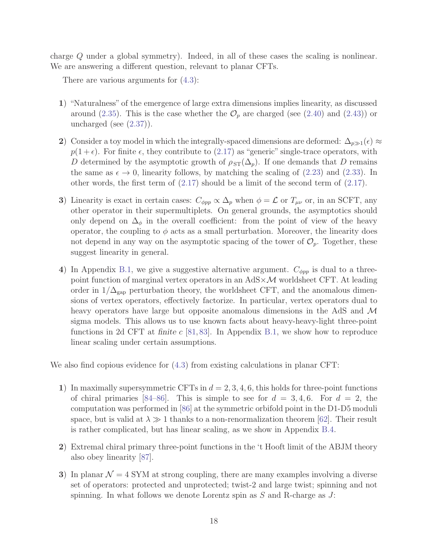charge Q under a global symmetry). Indeed, in all of these cases the scaling is nonlinear. We are answering a different question, relevant to planar CFTs.

There are various arguments for [\(4.3\)](#page-17-1):

- 1) "Naturalness" of the emergence of large extra dimensions implies linearity, as discussed around [\(2.35\)](#page-10-1). This is the case whether the  $\mathcal{O}_p$  are charged (see [\(2.40\)](#page-10-3) and [\(2.43\)](#page-11-1)) or uncharged (see [\(2.37\)](#page-10-4)).
- 2) Consider a toy model in which the integrally-spaced dimensions are deformed:  $\Delta_{p\gg1}(\epsilon) \approx$  $p(1 + \epsilon)$ . For finite  $\epsilon$ , they contribute to [\(2.17\)](#page-6-0) as "generic" single-trace operators, with D determined by the asymptotic growth of  $\rho_{ST}(\Delta_p)$ . If one demands that D remains the same as  $\epsilon \to 0$ , linearity follows, by matching the scaling of [\(2.23\)](#page-8-3) and [\(2.33\)](#page-9-0). In other words, the first term of [\(2.17\)](#page-6-0) should be a limit of the second term of [\(2.17\)](#page-6-0).
- 3) Linearity is exact in certain cases:  $C_{\phi pp} \propto \Delta_p$  when  $\phi = \mathcal{L}$  or  $T_{\mu\nu}$  or, in an SCFT, any other operator in their supermultiplets. On general grounds, the asymptotics should only depend on  $\Delta_{\phi}$  in the overall coefficient: from the point of view of the heavy operator, the coupling to  $\phi$  acts as a small perturbation. Moreover, the linearity does not depend in any way on the asymptotic spacing of the tower of  $\mathcal{O}_p$ . Together, these suggest linearity in general.
- 4) In Appendix [B.1,](#page-26-0) we give a suggestive alternative argument.  $C_{\phi pp}$  is dual to a threepoint function of marginal vertex operators in an  $AdS \times \mathcal{M}$  worldsheet CFT. At leading order in  $1/\Delta_{\rm gap}$  perturbation theory, the worldsheet CFT, and the anomalous dimensions of vertex operators, effectively factorize. In particular, vertex operators dual to heavy operators have large but opposite anomalous dimensions in the AdS and M sigma models. This allows us to use known facts about heavy-heavy-light three-point functions in 2d CFT at finite  $c$  [\[81,](#page-37-5) [83\]](#page-37-8). In Appendix [B.1,](#page-26-0) we show how to reproduce linear scaling under certain assumptions.

We also find copious evidence for [\(4.3\)](#page-17-1) from existing calculations in planar CFT:

- 1) In maximally supersymmetric CFTs in  $d = 2, 3, 4, 6$ , this holds for three-point functions of chiral primaries [\[84](#page-37-9)[–86\]](#page-37-10). This is simple to see for  $d = 3, 4, 6$ . For  $d = 2$ , the computation was performed in [\[86\]](#page-37-10) at the symmetric orbifold point in the D1-D5 moduli space, but is valid at  $\lambda \gg 1$  thanks to a non-renormalization theorem [\[62\]](#page-36-3). Their result is rather complicated, but has linear scaling, as we show in Appendix [B.4.](#page-30-0)
- 2) Extremal chiral primary three-point functions in the 't Hooft limit of the ABJM theory also obey linearity [\[87\]](#page-37-11).
- 3) In planar  $\mathcal{N} = 4$  SYM at strong coupling, there are many examples involving a diverse set of operators: protected and unprotected; twist-2 and large twist; spinning and not spinning. In what follows we denote Lorentz spin as  $S$  and R-charge as  $J$ :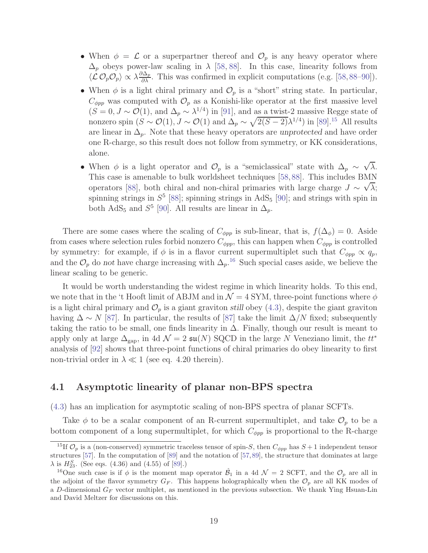- When  $\phi = \mathcal{L}$  or a superpartner thereof and  $\mathcal{O}_p$  is any heavy operator where  $\Delta_p$  obeys power-law scaling in  $\lambda$  [\[58,](#page-35-12) [88\]](#page-38-0). In this case, linearity follows from  $\langle \mathcal{L} \mathcal{O}_p \mathcal{O}_p \rangle \propto \lambda \frac{\partial \Delta_p}{\partial \lambda}$ . This was confirmed in explicit computations (e.g. [\[58,](#page-35-12)[88](#page-38-0)[–90\]](#page-38-1)).
- When  $\phi$  is a light chiral primary and  $\mathcal{O}_p$  is a "short" string state. In particular,  $C_{\phi pp}$  was computed with  $\mathcal{O}_p$  as a Konishi-like operator at the first massive level  $(S = 0, J \sim \mathcal{O}(1))$ , and  $\Delta_p \sim \lambda^{1/4}$  in [\[91\]](#page-38-2), and as a twist-2 massive Regge state of nonzero spin  $(S \sim \mathcal{O}(1), J \sim \mathcal{O}(1)$  and  $\Delta_p \sim \sqrt{2(S-2)}\lambda^{1/4}$ ) in [\[89\]](#page-38-3).<sup>15</sup> All results are linear in  $\Delta_p$ . Note that these heavy operators are unprotected and have order one R-charge, so this result does not follow from symmetry, or KK considerations, alone.
- When  $\phi$  is a light operator and  $\mathcal{O}_p$  is a "semiclassical" state with  $\Delta_p \sim \sqrt{\lambda}$ . This case is amenable to bulk worldsheet techniques [\[58,](#page-35-12)[88\]](#page-38-0). This includes BMN operators [\[88\]](#page-38-0), both chiral and non-chiral primaries with large charge  $J \sim \sqrt{\lambda}$ ; spinning strings in  $S^5$  [\[88\]](#page-38-0); spinning strings in  $AdS_5$  [\[90\]](#page-38-1); and strings with spin in both AdS<sub>5</sub> and  $S^5$  [\[90\]](#page-38-1). All results are linear in  $\Delta_p$ .

There are some cases where the scaling of  $C_{\phi pp}$  is sub-linear, that is,  $f(\Delta_{\phi}) = 0$ . Aside from cases where selection rules forbid nonzero  $C_{\phi pp}$ , this can happen when  $C_{\phi pp}$  is controlled by symmetry: for example, if  $\phi$  is in a flavor current supermultiplet such that  $C_{\phi pp} \propto q_p$ , and the  $\mathcal{O}_p$  do not have charge increasing with  $\Delta_p$ .<sup>16</sup> Such special cases aside, we believe the linear scaling to be generic.

It would be worth understanding the widest regime in which linearity holds. To this end, we note that in the 't Hooft limit of ABJM and in  $\mathcal{N}=4$  SYM, three-point functions where  $\phi$ is a light chiral primary and  $\mathcal{O}_p$  is a giant graviton still obey [\(4.3\)](#page-17-1), despite the giant graviton having  $\Delta \sim N$  [\[87\]](#page-37-11). In particular, the results of [\[87\]](#page-37-11) take the limit  $\Delta/N$  fixed; subsequently taking the ratio to be small, one finds linearity in  $\Delta$ . Finally, though our result is meant to apply only at large  $\Delta_{\text{gap}}$ , in 4d  $\mathcal{N} = 2 \text{ su}(N)$  SQCD in the large N Veneziano limit, the  $tt^*$ analysis of [\[92\]](#page-38-4) shows that three-point functions of chiral primaries do obey linearity to first non-trivial order in  $\lambda \ll 1$  (see eq. 4.20 therein).

### <span id="page-19-0"></span>4.1 Asymptotic linearity of planar non-BPS spectra

[\(4.3\)](#page-17-1) has an implication for asymptotic scaling of non-BPS spectra of planar SCFTs.

Take  $\phi$  to be a scalar component of an R-current supermultiplet, and take  $\mathcal{O}_p$  to be a bottom component of a long supermultiplet, for which  $C_{\phi pp}$  is proportional to the R-charge

<sup>&</sup>lt;sup>15</sup>If  $\mathcal{O}_p$  is a (non-conserved) symmetric traceless tensor of spin-S, then  $C_{\phi pp}$  has  $S+1$  independent tensor structures [\[57\]](#page-35-11). In the computation of [\[89\]](#page-38-3) and the notation of [\[57,](#page-35-11)[89\]](#page-38-3), the structure that dominates at large  $\lambda$  is  $H_{23}^S$ . (See eqs. (4.36) and (4.55) of [\[89\]](#page-38-3).)

<sup>&</sup>lt;sup>16</sup>One such case is if  $\phi$  is the moment map operator  $\hat{\mathcal{B}}_1$  in a 4d  $\mathcal{N} = 2$  SCFT, and the  $\mathcal{O}_p$  are all in the adjoint of the flavor symmetry  $G_F$ . This happens holographically when the  $\mathcal{O}_p$  are all KK modes of a D-dimensional  $G_F$  vector multiplet, as mentioned in the previous subsection. We thank Ying Hsuan-Lin and David Meltzer for discussions on this.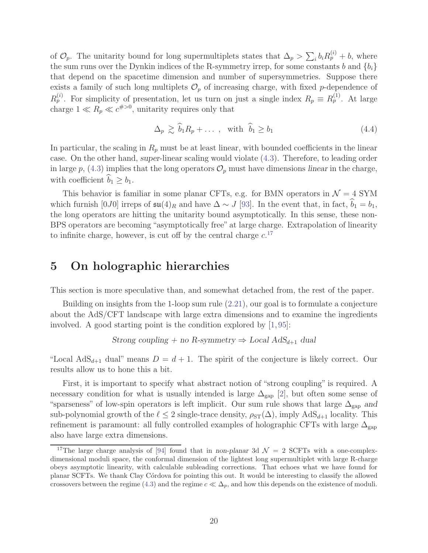of  $\mathcal{O}_p$ . The unitarity bound for long supermultiplets states that  $\Delta_p > \sum_i b_i R_p^{(i)} + b$ , where the sum runs over the Dynkin indices of the R-symmetry irrep, for some constants b and  ${b_i}$ that depend on the spacetime dimension and number of supersymmetries. Suppose there exists a family of such long multiplets  $\mathcal{O}_p$  of increasing charge, with fixed p-dependence of  $R_p^{(i)}$ . For simplicity of presentation, let us turn on just a single index  $R_p \equiv R_p^{(1)}$ . At large charge  $1 \ll R_p \ll c^{\#>0}$ , unitarity requires only that

$$
\Delta_p \gtrsim \widehat{b}_1 R_p + \dots \,, \quad \text{with} \quad \widehat{b}_1 \ge b_1 \tag{4.4}
$$

In particular, the scaling in  $R_p$  must be at least linear, with bounded coefficients in the linear case. On the other hand, super-linear scaling would violate [\(4.3\)](#page-17-1). Therefore, to leading order in large p, [\(4.3\)](#page-17-1) implies that the long operators  $\mathcal{O}_p$  must have dimensions linear in the charge, with coefficient  $b_1 \geq b_1$ .

This behavior is familiar in some planar CFTs, e.g. for BMN operators in  $\mathcal{N}=4$  SYM which furnish  $[0J0]$  irreps of  $\mathfrak{su}(4)_R$  and have  $\Delta \sim J$  [\[93\]](#page-38-5). In the event that, in fact,  $\widehat{b}_1 = b_1$ , the long operators are hitting the unitarity bound asymptotically. In this sense, these non-BPS operators are becoming "asymptotically free" at large charge. Extrapolation of linearity to infinite charge, however, is cut off by the central charge  $c$ <sup>17</sup>

## <span id="page-20-0"></span>5 On holographic hierarchies

This section is more speculative than, and somewhat detached from, the rest of the paper.

Building on insights from the 1-loop sum rule [\(2.21\)](#page-7-1), our goal is to formulate a conjecture about the AdS/CFT landscape with large extra dimensions and to examine the ingredients involved. A good starting point is the condition explored by [\[1,](#page-32-0) [95\]](#page-38-6):

Strong coupling + no R-symmetry 
$$
\Rightarrow
$$
 Local AdS<sub>d+1</sub> dual

"Local AdS<sub>d+1</sub> dual" means  $D = d + 1$ . The spirit of the conjecture is likely correct. Our results allow us to hone this a bit.

First, it is important to specify what abstract notion of "strong coupling" is required. A necessary condition for what is usually intended is large  $\Delta_{\rm gap}$  [\[2\]](#page-32-2), but often some sense of "sparseness" of low-spin operators is left implicit. Our sum rule shows that large  $\Delta_{\rm gap}$  and sub-polynomial growth of the  $\ell \leq 2$  single-trace density,  $\rho_{ST}(\Delta)$ , imply  $AdS_{d+1}$  locality. This refinement is paramount: all fully controlled examples of holographic CFTs with large  $\Delta_{\rm gap}$ also have large extra dimensions.

<sup>&</sup>lt;sup>17</sup>The large charge analysis of [\[94\]](#page-38-7) found that in non-planar 3d  $\mathcal{N} = 2$  SCFTs with a one-complexdimensional moduli space, the conformal dimension of the lightest long supermultiplet with large R-charge obeys asymptotic linearity, with calculable subleading corrections. That echoes what we have found for planar SCFTs. We thank Clay C´ordova for pointing this out. It would be interesting to classify the allowed crossovers between the regime [\(4.3\)](#page-17-1) and the regime  $c \ll \Delta_p$ , and how this depends on the existence of moduli.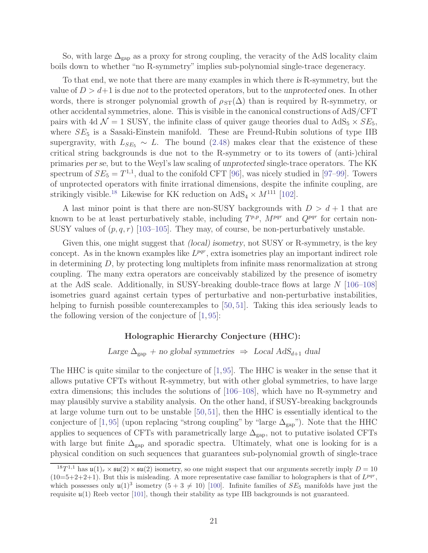So, with large  $\Delta_{\text{gap}}$  as a proxy for strong coupling, the veracity of the AdS locality claim boils down to whether "no R-symmetry" implies sub-polynomial single-trace degeneracy.

To that end, we note that there are many examples in which there is R-symmetry, but the value of  $D > d+1$  is due not to the protected operators, but to the unprotected ones. In other words, there is stronger polynomial growth of  $\rho_{ST}(\Delta)$  than is required by R-symmetry, or other accidental symmetries, alone. This is visible in the canonical constructions of AdS/CFT pairs with 4d  $\mathcal{N} = 1$  SUSY, the infinite class of quiver gauge theories dual to  $AdS_5 \times SE_5$ , where  $SE_5$  is a Sasaki-Einstein manifold. These are Freund-Rubin solutions of type IIB supergravity, with  $L_{SE_5} \sim L$ . The bound [\(2.48\)](#page-12-1) makes clear that the existence of these critical string backgrounds is due not to the R-symmetry or to its towers of (anti-)chiral primaries per se, but to the Weyl's law scaling of unprotected single-trace operators. The KK spectrum of  $SE_5 = T^{1,1}$ , dual to the conifold CFT [\[96\]](#page-38-8), was nicely studied in [\[97–](#page-38-9)[99\]](#page-38-10). Towers of unprotected operators with finite irrational dimensions, despite the infinite coupling, are strikingly visible.<sup>18</sup> Likewise for KK reduction on  $AdS_4 \times M^{111}$  [\[102\]](#page-39-0).

A last minor point is that there are non-SUSY backgrounds with  $D > d + 1$  that are known to be at least perturbatively stable, including  $T^{p,p}$ ,  $M^{pqr}$  and  $Q^{pqr}$  for certain non-SUSY values of  $(p, q, r)$  [\[103–](#page-39-1)[105\]](#page-39-2). They may, of course, be non-perturbatively unstable.

Given this, one might suggest that *(local)* isometry, not SUSY or R-symmetry, is the key concept. As in the known examples like  $L^{pqr}$ , extra isometries play an important indirect role in determining D, by protecting long multiplets from infinite mass renormalization at strong coupling. The many extra operators are conceivably stabilized by the presence of isometry at the AdS scale. Additionally, in SUSY-breaking double-trace flows at large N [\[106](#page-39-3)[–108\]](#page-39-4) isometries guard against certain types of perturbative and non-perturbative instabilities, helping to furnish possible counterexamples to [\[50,](#page-35-5) [51\]](#page-35-13). Taking this idea seriously leads to the following version of the conjecture of [\[1,](#page-32-0) [95\]](#page-38-6):

#### Holographic Hierarchy Conjecture (HHC):

Large  $\Delta_{\text{gap}}$  + no global symmetries  $\Rightarrow$  Local AdS<sub>d+1</sub> dual

The HHC is quite similar to the conjecture of [\[1,](#page-32-0)[95\]](#page-38-6). The HHC is weaker in the sense that it allows putative CFTs without R-symmetry, but with other global symmetries, to have large extra dimensions; this includes the solutions of [\[106](#page-39-3)[–108\]](#page-39-4), which have no R-symmetry and may plausibly survive a stability analysis. On the other hand, if SUSY-breaking backgrounds at large volume turn out to be unstable [\[50,](#page-35-5)[51\]](#page-35-13), then the HHC is essentially identical to the conjecture of [\[1,](#page-32-0)[95\]](#page-38-6) (upon replacing "strong coupling" by "large  $\Delta_{\rm gap}$ "). Note that the HHC applies to sequences of CFTs with parametrically large  $\Delta_{\rm gap}$ , not to putative isolated CFTs with large but finite  $\Delta_{\rm gap}$  and sporadic spectra. Ultimately, what one is looking for is a physical condition on such sequences that guarantees sub-polynomial growth of single-trace

<sup>&</sup>lt;sup>18</sup>T<sup>1,1</sup> has  $\mathfrak{u}(1)_r \times \mathfrak{su}(2) \times \mathfrak{su}(2)$  isometry, so one might suspect that our arguments secretly imply  $D = 10$  $(10=5+2+2+1)$ . But this is misleading. A more representative case familiar to holographers is that of  $L^{pqr}$ , which possesses only  $\mathfrak{u}(1)^3$  isometry  $(5+3 \neq 10)$  [\[100\]](#page-38-11). Infinite families of  $SE_5$  manifolds have just the requisite  $\mu(1)$  Reeb vector [\[101\]](#page-38-12), though their stability as type IIB backgrounds is not guaranteed.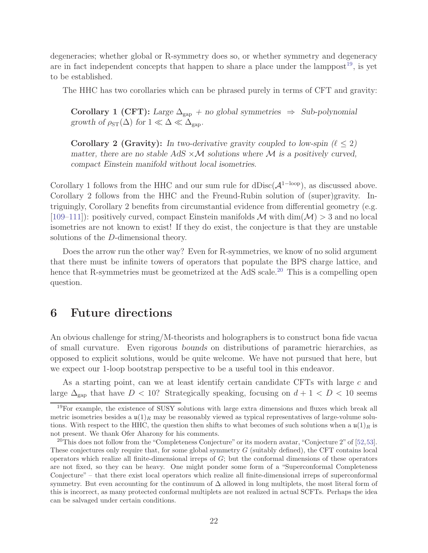degeneracies; whether global or R-symmetry does so, or whether symmetry and degeneracy are in fact independent concepts that happen to share a place under the lamppost<sup>19</sup>, is yet to be established.

The HHC has two corollaries which can be phrased purely in terms of CFT and gravity:

Corollary 1 (CFT): Large  $\Delta_{\rm gap}$  + no global symmetries  $\Rightarrow$  Sub-polynomial growth of  $\rho_{ST}(\Delta)$  for  $1 \ll \Delta \ll \Delta_{\rm gap}$ .

**Corollary 2 (Gravity):** In two-derivative gravity coupled to low-spin  $(\ell \leq 2)$ matter, there are no stable AdS  $\times$ M solutions where M is a positively curved, compact Einstein manifold without local isometries.

Corollary 1 follows from the HHC and our sum rule for dDisc( $\mathcal{A}^{\{1-\text{loop}\}}$ ), as discussed above. Corollary 2 follows from the HHC and the Freund-Rubin solution of (super)gravity. Intriguingly, Corollary 2 benefits from circumstantial evidence from differential geometry (e.g. [\[109–](#page-39-5)[111\]](#page-39-6)): positively curved, compact Einstein manifolds  $\mathcal{M}$  with dim $(\mathcal{M}) > 3$  and no local isometries are not known to exist! If they do exist, the conjecture is that they are unstable solutions of the D-dimensional theory.

Does the arrow run the other way? Even for R-symmetries, we know of no solid argument that there must be infinite towers of operators that populate the BPS charge lattice, and hence that R-symmetries must be geometrized at the AdS scale.<sup>20</sup> This is a compelling open question.

## <span id="page-22-0"></span>6 Future directions

An obvious challenge for string/M-theorists and holographers is to construct bona fide vacua of small curvature. Even rigorous bounds on distributions of parametric hierarchies, as opposed to explicit solutions, would be quite welcome. We have not pursued that here, but we expect our 1-loop bootstrap perspective to be a useful tool in this endeavor.

As a starting point, can we at least identify certain candidate CFTs with large c and large  $\Delta_{\text{gap}}$  that have  $D < 10$ ? Strategically speaking, focusing on  $d + 1 < D < 10$  seems

<sup>19</sup>For example, the existence of SUSY solutions with large extra dimensions and fluxes which break all metric isometries besides a  $\mathfrak{u}(1)_R$  may be reasonably viewed as typical representatives of large-volume solutions. With respect to the HHC, the question then shifts to what becomes of such solutions when a  $\mu(1)_R$  is not present. We thank Ofer Aharony for his comments.

<sup>&</sup>lt;sup>20</sup>This does not follow from the "Completeness Conjecture" or its modern avatar, "Conjecture 2" of  $[52,53]$  $[52,53]$ . These conjectures only require that, for some global symmetry  $G$  (suitably defined), the CFT contains local operators which realize all finite-dimensional irreps of G; but the conformal dimensions of these operators are not fixed, so they can be heavy. One might ponder some form of a "Superconformal Completeness Conjecture" – that there exist local operators which realize all finite-dimensional irreps of superconformal symmetry. But even accounting for the continuum of  $\Delta$  allowed in long multiplets, the most literal form of this is incorrect, as many protected conformal multiplets are not realized in actual SCFTs. Perhaps the idea can be salvaged under certain conditions.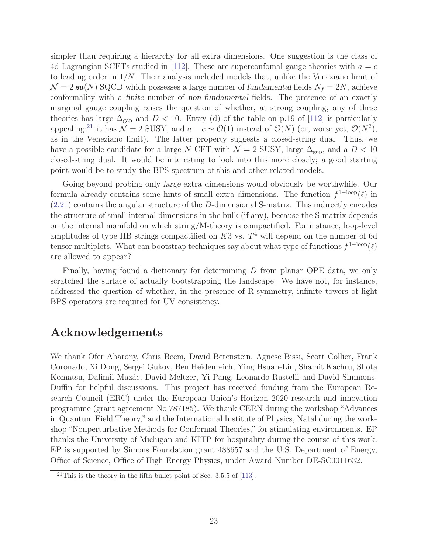simpler than requiring a hierarchy for all extra dimensions. One suggestion is the class of 4d Lagrangian SCFTs studied in [\[112\]](#page-39-7). These are superconfomal gauge theories with  $a = c$ to leading order in 1/N. Their analysis included models that, unlike the Veneziano limit of  $\mathcal{N} = 2 \mathfrak{su}(N)$  SQCD which possesses a large number of fundamental fields  $N_f = 2N$ , achieve conformality with a finite number of non-fundamental fields. The presence of an exactly marginal gauge coupling raises the question of whether, at strong coupling, any of these theories has large  $\Delta_{\rm gap}$  and  $D < 10$ . Entry (d) of the table on p.19 of [\[112\]](#page-39-7) is particularly appealing:<sup>21</sup> it has  $\mathcal{N}=2$  SUSY, and  $a-c \sim \mathcal{O}(1)$  instead of  $\mathcal{O}(N)$  (or, worse yet,  $\mathcal{O}(N^2)$ , as in the Veneziano limit). The latter property suggests a closed-string dual. Thus, we have a possible candidate for a large N CFT with  $\mathcal{N}=2$  SUSY, large  $\Delta_{\mathrm{gap}}$ , and a  $D < 10$ closed-string dual. It would be interesting to look into this more closely; a good starting point would be to study the BPS spectrum of this and other related models.

Going beyond probing only large extra dimensions would obviously be worthwhile. Our formula already contains some hints of small extra dimensions. The function  $f^{1-loop}(\ell)$  in [\(2.21\)](#page-7-1) contains the angular structure of the D-dimensional S-matrix. This indirectly encodes the structure of small internal dimensions in the bulk (if any), because the S-matrix depends on the internal manifold on which string/M-theory is compactified. For instance, loop-level amplitudes of type IIB strings compactified on  $K3$  vs.  $T<sup>4</sup>$  will depend on the number of 6d tensor multiplets. What can bootstrap techniques say about what type of functions  $f^{1-loop}(\ell)$ are allowed to appear?

Finally, having found a dictionary for determining D from planar OPE data, we only scratched the surface of actually bootstrapping the landscape. We have not, for instance, addressed the question of whether, in the presence of R-symmetry, infinite towers of light BPS operators are required for UV consistency.

## Acknowledgements

We thank Ofer Aharony, Chris Beem, David Berenstein, Agnese Bissi, Scott Collier, Frank Coronado, Xi Dong, Sergei Gukov, Ben Heidenreich, Ying Hsuan-Lin, Shamit Kachru, Shota Komatsu, Dalimil Mazáč, David Meltzer, Yi Pang, Leonardo Rastelli and David Simmons-Duffin for helpful discussions. This project has received funding from the European Research Council (ERC) under the European Union's Horizon 2020 research and innovation programme (grant agreement No 787185). We thank CERN during the workshop "Advances in Quantum Field Theory," and the International Institute of Physics, Natal during the workshop "Nonperturbative Methods for Conformal Theories," for stimulating environments. EP thanks the University of Michigan and KITP for hospitality during the course of this work. EP is supported by Simons Foundation grant 488657 and the U.S. Department of Energy, Office of Science, Office of High Energy Physics, under Award Number DE-SC0011632.

<span id="page-23-0"></span> $^{21}$ This is the theory in the fifth bullet point of Sec. 3.5.5 of [\[113\]](#page-39-8).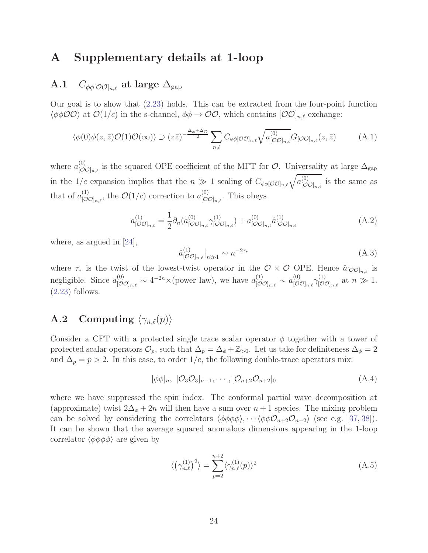## <span id="page-24-0"></span>A Supplementary details at 1-loop

### A.1  $C_{\phi\phi[O_{{\cal O}}]_{n,\ell}}$  at large  $\Delta_{\text{gap}}$

Our goal is to show that [\(2.23\)](#page-8-3) holds. This can be extracted from the four-point function  $\langle \phi \phi \mathcal{O} \mathcal{O} \rangle$  at  $\mathcal{O}(1/c)$  in the s-channel,  $\phi \phi \to \mathcal{O} \mathcal{O}$ , which contains  $[\mathcal{O} \mathcal{O}]_{n,\ell}$  exchange:

$$
\langle \phi(0)\phi(z,\bar{z})\mathcal{O}(1)\mathcal{O}(\infty)\rangle \supset (z\bar{z})^{-\frac{\Delta_{\phi}+\Delta_{\mathcal{O}}}{2}} \sum_{n,\ell} C_{\phi\phi[\mathcal{O}\mathcal{O}]_{n,\ell}} \sqrt{a_{[\mathcal{O}\mathcal{O}]_{n,\ell}}} G_{[\mathcal{O}\mathcal{O}]_{n,\ell}}(z,\bar{z})
$$
(A.1)

where  $a_{\lbrack \mathcal{O} \mathcal{O}}^{(0)}$  $\mathcal{O}_{[\mathcal{O}\mathcal{O}]_{n,\ell}}^{(0)}$  is the squared OPE coefficient of the MFT for  $\mathcal{O}$ . Universality at large  $\Delta_{\text{gap}}$ in the 1/c expansion implies that the  $n \gg 1$  scaling of  $C_{\phi\phi[O O]_{n,\ell}}\sqrt{a_{[O\theta]}^{(0)}}$  $\big[\mathcal{O}\mathcal{O}]_{n,\ell}$  is the same as that of  $a_{\text{tot}}^{(1)}$  $\big[{}^{(1)}_{[\mathcal{O} \mathcal{O}]_{n,\ell}}$ , the  $\mathcal{O}(1/c)$  correction to  $a^{(0)}_{[\mathcal{O}]}$  $\big[\mathcal{O}\mathcal{O}]_{n,\ell}$ . This obeys

$$
a_{[\mathcal{O}\mathcal{O}]_{n,\ell}}^{(1)} = \frac{1}{2} \partial_n (a_{[\mathcal{O}\mathcal{O}]_{n,\ell}}^{(0)} \gamma_{[\mathcal{O}\mathcal{O}]_{n,\ell}}^{(1)}) + a_{[\mathcal{O}\mathcal{O}]_{n,\ell}}^{(0)} \hat{a}_{[\mathcal{O}\mathcal{O}]_{n,\ell}}^{(1)} \tag{A.2}
$$

where, as argued in [\[24\]](#page-33-6),

$$
\hat{a}_{\left[\mathcal{O}\mathcal{O}\right]_{n,\ell}}^{(1)}\Big|_{n\gg 1} \sim n^{-2\tau_*} \tag{A.3}
$$

<span id="page-24-1"></span>where  $\tau_*$  is the twist of the lowest-twist operator in the  $\mathcal{O} \times \mathcal{O}$  OPE. Hence  $\hat{a}_{[\mathcal{O}\mathcal{O}]_{n,\ell}}$  is negligible. Since  $a_{\text{rel}}^{(0)}$  $\int_{\lbrack\mathcal{O}\mathcal{O}]_{n,\ell}}^{(0)} \sim 4^{-2n} \times \text{(power law)}, \text{ we have } a_{\lbrack\mathcal{O}\rbrack}^{(1)}$  $\overset{(1)}{[\mathcal{O}\mathcal{O}]_{n,\ell}} \sim a_{[\mathcal{O}\mathcal{O}]}^{(0)}$  $\lbrack \mathcal{O}\mathcal{O} \rbrack_{n,\ell} \gamma^{(1)}_{[ \mathcal{O} \mathcal{O}]}$  $[\mathcal{O}\mathcal{O}]_{n,\ell}$  at  $n \gg 1$ . [\(2.23\)](#page-8-3) follows.

## **A.2** Computing  $\langle \gamma_{n,\ell}(p) \rangle$

Consider a CFT with a protected single trace scalar operator  $\phi$  together with a tower of protected scalar operators  $\mathcal{O}_p$ , such that  $\Delta_p = \Delta_{\phi} + \mathbb{Z}_{>0}$ . Let us take for definiteness  $\Delta_{\phi} = 2$ and  $\Delta_p = p > 2$ . In this case, to order  $1/c$ , the following double-trace operators mix:

$$
[\phi\phi]_n, [\mathcal{O}_3\mathcal{O}_3]_{n-1}, \cdots, [\mathcal{O}_{n+2}\mathcal{O}_{n+2}]_0
$$
\n(A.4)

where we have suppressed the spin index. The conformal partial wave decomposition at (approximate) twist  $2\Delta_{\phi} + 2n$  will then have a sum over  $n + 1$  species. The mixing problem can be solved by considering the correlators  $\langle \phi \phi \phi \phi \rangle$ ,  $\cdots \langle \phi \phi \mathcal{O}_{n+2} \mathcal{O}_{n+2} \rangle$  (see e.g. [\[37,](#page-34-2) [38\]](#page-34-3)). It can be shown that the average squared anomalous dimensions appearing in the 1-loop correlator  $\langle \phi \phi \phi \phi \rangle$  are given by

$$
\langle \left(\gamma_{n,\ell}^{(1)}\right)^2 \rangle = \sum_{p=2}^{n+2} \langle \gamma_{n,\ell}^{(1)}(p) \rangle^2 \tag{A.5}
$$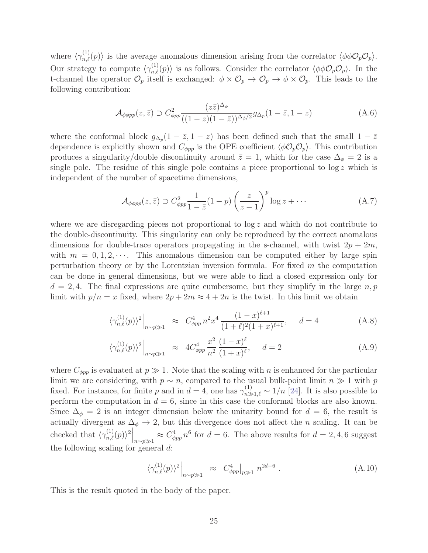where  $\langle \gamma_{n,\ell}^{(1)}(p) \rangle$  is the average anomalous dimension arising from the correlator  $\langle \phi \phi \mathcal{O}_p \mathcal{O}_p \rangle$ . Our strategy to compute  $\langle \gamma_{n,\ell}^{(1)}(p) \rangle$  is as follows. Consider the correlator  $\langle \phi \phi \mathcal{O}_p \mathcal{O}_p \rangle$ . In the t-channel the operator  $\mathcal{O}_p$  itself is exchanged:  $\phi \times \mathcal{O}_p \to \mathcal{O}_p \to \phi \times \mathcal{O}_p$ . This leads to the following contribution:

$$
\mathcal{A}_{\phi\phi pp}(z,\bar{z}) \supset C_{\phi pp}^2 \frac{(z\bar{z})^{\Delta_{\phi}}}{((1-z)(1-\bar{z}))^{\Delta_{\phi}/2}} g_{\Delta_p}(1-\bar{z},1-z) \tag{A.6}
$$

where the conformal block  $g_{\Delta_p}(1-\bar{z},1-z)$  has been defined such that the small  $1-\bar{z}$ dependence is explicitly shown and  $C_{\phi pp}$  is the OPE coefficient  $\langle \phi \mathcal{O}_p \mathcal{O}_p \rangle$ . This contribution produces a singularity/double discontinuity around  $\bar{z} = 1$ , which for the case  $\Delta_{\phi} = 2$  is a single pole. The residue of this single pole contains a piece proportional to  $\log z$  which is independent of the number of spacetime dimensions,

$$
\mathcal{A}_{\phi\phi pp}(z,\bar{z}) \supset C_{\phi pp}^2 \frac{1}{1-\bar{z}} (1-p) \left(\frac{z}{z-1}\right)^p \log z + \cdots \tag{A.7}
$$

where we are disregarding pieces not proportional to  $\log z$  and which do not contribute to the double-discontinuity. This singularity can only be reproduced by the correct anomalous dimensions for double-trace operators propagating in the s-channel, with twist  $2p + 2m$ , with  $m = 0, 1, 2, \cdots$ . This anomalous dimension can be computed either by large spin perturbation theory or by the Lorentzian inversion formula. For fixed  $m$  the computation can be done in general dimensions, but we were able to find a closed expression only for  $d = 2, 4$ . The final expressions are quite cumbersome, but they simplify in the large  $n, p$ limit with  $p/n = x$  fixed, where  $2p + 2m \approx 4 + 2n$  is the twist. In this limit we obtain

$$
\left. \langle \gamma_{n,\ell}^{(1)}(p) \rangle^2 \right|_{n \sim p \gg 1} \approx C_{\phi pp}^4 n^2 x^4 \frac{(1-x)^{\ell+1}}{(1+\ell)^2 (1+x)^{\ell+1}}, \quad d = 4 \tag{A.8}
$$

$$
\langle \gamma_{n,\ell}^{(1)}(p) \rangle^2 \Big|_{n \sim p \gg 1} \approx 4C_{\phi pp}^4 \frac{x^2}{n^2} \frac{(1-x)^{\ell}}{(1+x)^{\ell}}, \quad d = 2 \tag{A.9}
$$

where  $C_{\phi pp}$  is evaluated at  $p \gg 1$ . Note that the scaling with n is enhanced for the particular limit we are considering, with  $p \sim n$ , compared to the usual bulk-point limit  $n \gg 1$  with p fixed. For instance, for finite p and in  $d=4$ , one has  $\gamma_{n\gg1,\ell}^{(1)} \sim 1/n$  [\[24\]](#page-33-6). It is also possible to perform the computation in  $d = 6$ , since in this case the conformal blocks are also known. Since  $\Delta_{\phi} = 2$  is an integer dimension below the unitarity bound for  $d = 6$ , the result is actually divergent as  $\Delta_{\phi} \rightarrow 2$ , but this divergence does not affect the *n* scaling. It can be checked that  $\left.\left\langle \gamma_{n,\ell}^{(1)}(p)\right\rangle^2\right|_{n\sim p\gg 1}\approx C_{\phi pp}^4\,n^6$  for  $d=6$ . The above results for  $d=2,4,6$  suggest the following scaling for general d:

$$
\left.\langle \gamma_{n,\ell}^{(1)}(p) \rangle^2 \right|_{n \sim p \gg 1} \approx C_{\phi pp}^4 \Big|_{p \gg 1} n^{2d-6} . \tag{A.10}
$$

<span id="page-25-0"></span>This is the result quoted in the body of the paper.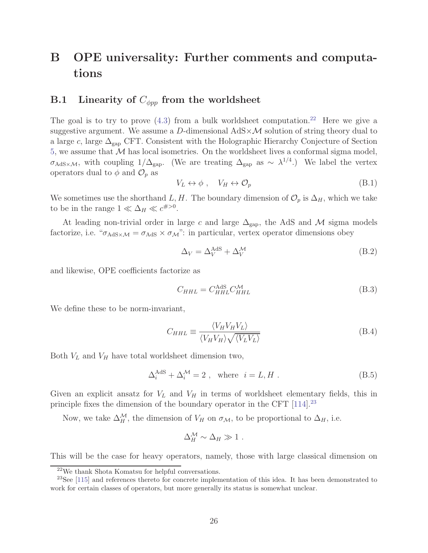# B OPE universality: Further comments and computations

### <span id="page-26-0"></span>B.1 Linearity of  $C_{\phi pp}$  from the worldsheet

The goal is to try to prove  $(4.3)$  from a bulk worldsheet computation.<sup>22</sup> Here we give a suggestive argument. We assume a D-dimensional  $AdS \times \mathcal{M}$  solution of string theory dual to a large  $c$ , large  $\Delta_{\rm{gap}}$  CFT. Consistent with the Holographic Hierarchy Conjecture of Section [5,](#page-20-0) we assume that  $M$  has local isometries. On the worldsheet lives a conformal sigma model,  $\sigma_{\text{AdS}\times\mathcal{M}}$ , with coupling  $1/\Delta_{\text{gap}}$ . (We are treating  $\Delta_{\text{gap}}$  as ~  $\lambda^{1/4}$ .) We label the vertex operators dual to  $\phi$  and  $\mathcal{O}_p$  as

$$
V_L \leftrightarrow \phi \ , \quad V_H \leftrightarrow \mathcal{O}_p \tag{B.1}
$$

We sometimes use the shorthand L, H. The boundary dimension of  $\mathcal{O}_p$  is  $\Delta_H$ , which we take to be in the range  $1 \ll \Delta_H \ll c^{\#>0}$ .

At leading non-trivial order in large  $c$  and large  $\Delta_{\text{gap}}$ , the AdS and M sigma models factorize, i.e. " $\sigma_{AdS} \times \sigma_{AdS}$ ": in particular, vertex operator dimensions obey

$$
\Delta_V = \Delta_V^{\text{AdS}} + \Delta_V^{\mathcal{M}} \tag{B.2}
$$

and likewise, OPE coefficients factorize as

$$
C_{HHL} = C_{HHL}^{\text{AdS}} C_{HHL}^{\mathcal{M}} \tag{B.3}
$$

We define these to be norm-invariant,

$$
C_{HHL} \equiv \frac{\langle V_H V_H V_L \rangle}{\langle V_H V_H \rangle \sqrt{\langle V_L V_L \rangle}}
$$
(B.4)

Both  $V_L$  and  $V_H$  have total worldsheet dimension two,

$$
\Delta_i^{\text{AdS}} + \Delta_i^{\mathcal{M}} = 2 \ , \text{ where } i = L, H \ . \tag{B.5}
$$

Given an explicit ansatz for  $V_L$  and  $V_H$  in terms of worldsheet elementary fields, this in principle fixes the dimension of the boundary operator in the CFT  $[114]$ <sup>23</sup>

Now, we take  $\Delta_H^{\mathcal{M}}$ , the dimension of  $V_H$  on  $\sigma_{\mathcal{M}}$ , to be proportional to  $\Delta_H$ , i.e.

$$
\Delta_H^{\mathcal{M}} \sim \Delta_H \gg 1 \; .
$$

This will be the case for heavy operators, namely, those with large classical dimension on

<sup>22</sup>We thank Shota Komatsu for helpful conversations.

<sup>&</sup>lt;sup>23</sup>See [\[115\]](#page-39-10) and references thereto for concrete implementation of this idea. It has been demonstrated to work for certain classes of operators, but more generally its status is somewhat unclear.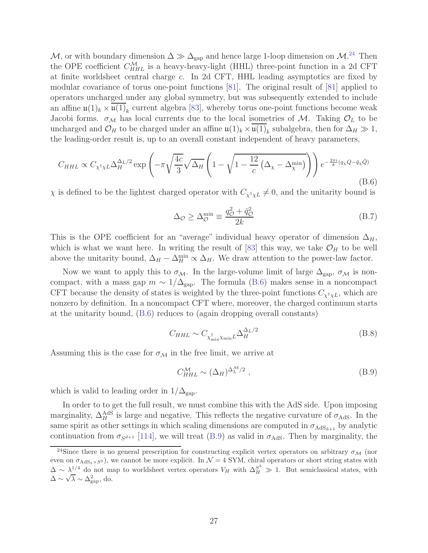M, or with boundary dimension  $\Delta \gg \Delta_{\rm gap}$  and hence large 1-loop dimension on  $\mathcal{M}.^{24}$  Then the OPE coefficient  $C_{HHL}^{\mathcal{M}}$  is a heavy-heavy-light (HHL) three-point function in a 2d CFT at finite worldsheet central charge c. In 2d CFT, HHL leading asymptotics are fixed by modular covariance of torus one-point functions [\[81\]](#page-37-5). The original result of [\[81\]](#page-37-5) applied to operators uncharged under any global symmetry, but was subsequently extended to include an affine  $\mathfrak{u}(1)_k \times \overline{\mathfrak{u}(1)}_k$  current algebra [\[83\]](#page-37-8), whereby torus one-point functions become weak Jacobi forms.  $\sigma_{\mathcal{M}}$  has local currents due to the local isometries of M. Taking  $\mathcal{O}_L$  to be uncharged and  $\mathcal{O}_H$  to be charged under an affine  $\mathfrak{u}(1)_k \times \overline{\mathfrak{u}(1)}_k$  subalgebra, then for  $\Delta_H \gg 1$ , the leading-order result is, up to an overall constant independent of heavy parameters,

<span id="page-27-0"></span>
$$
C_{HHL} \propto C_{\chi^{\dagger}\chi L} \Delta_H^{\Delta_L/2} \exp\left(-\pi\sqrt{\frac{4c}{3}}\sqrt{\Delta_H} \left(1-\sqrt{1-\frac{12}{c}\left(\Delta_{\chi}-\Delta_{\chi}^{\min}\right)}\right)\right) e^{-\frac{2\pi i}{k}(q_{\chi}Q-\bar{q}_{\chi}\bar{Q})}
$$
(B.6)

 $\chi$  is defined to be the lightest charged operator with  $C_{\chi^{\dagger}\chi L} \neq 0$ , and the unitarity bound is

$$
\Delta_{\mathcal{O}} \ge \Delta_{\mathcal{O}}^{\min} \equiv \frac{q_{\mathcal{O}}^2 + \bar{q}_{\mathcal{O}}^2}{2k} \tag{B.7}
$$

This is the OPE coefficient for an "average" individual heavy operator of dimension  $\Delta_H$ , which is what we want here. In writing the result of [\[83\]](#page-37-8) this way, we take  $\mathcal{O}_H$  to be well above the unitarity bound,  $\Delta_H - \Delta_H^{\min} \propto \Delta_H$ . We draw attention to the power-law factor.

Now we want to apply this to  $\sigma_{\mathcal{M}}$ . In the large-volume limit of large  $\Delta_{\text{gap}}$ ,  $\sigma_{\mathcal{M}}$  is noncompact, with a mass gap  $m \sim 1/\Delta_{\rm gap}$ . The formula [\(B.6\)](#page-27-0) makes sense in a noncompact CFT because the density of states is weighted by the three-point functions  $C_{\chi^{\dagger}\chi L}$ , which are nonzero by definition. In a noncompact CFT where, moreover, the charged continuum starts at the unitarity bound, [\(B.6\)](#page-27-0) reduces to (again dropping overall constants)

$$
C_{HHL} \sim C_{\chi_{\min}^{\dagger} \chi_{\min} L} \Delta_H^{\Delta_L/2}
$$
 (B.8)

Assuming this is the case for  $\sigma_{\mathcal{M}}$  in the free limit, we arrive at

<span id="page-27-1"></span>
$$
C_{HHL}^{\mathcal{M}} \sim (\Delta_H)^{\Delta_L^{\mathcal{M}}/2} , \qquad (B.9)
$$

which is valid to leading order in  $1/\Delta_{\rm gap}$ .

In order to to get the full result, we must combine this with the AdS side. Upon imposing marginality,  $\Delta_H^{\text{AdS}}$  is large and negative. This reflects the negative curvature of  $\sigma_{\text{AdS}}$ . In the same spirit as other settings in which scaling dimensions are computed in  $\sigma_{AdS_{d+1}}$  by analytic continuation from  $\sigma_{S^{d+1}}$  [\[114\]](#page-39-9), we will treat [\(B.9\)](#page-27-1) as valid in  $\sigma_{\text{AdS}}$ . Then by marginality, the

<sup>&</sup>lt;sup>24</sup>Since there is no general prescription for constructing explicit vertex operators on arbitrary  $\sigma_{\mathcal{M}}$  (nor even on  $\sigma_{AdS_5\times S^5}$ , we cannot be more explicit. In  $\mathcal{N}=4$  SYM, chiral operators or short string states with  $\Delta \sim \lambda^{-1/4}$  do not map to worldsheet vertex operators  $V_H$  with  $\Delta_H^{S^5} \gg 1$ . But semiclassical states, with  $\overline{\Delta} \sim \sqrt{\lambda} \sim \Delta_{\rm gap}^2$ , do.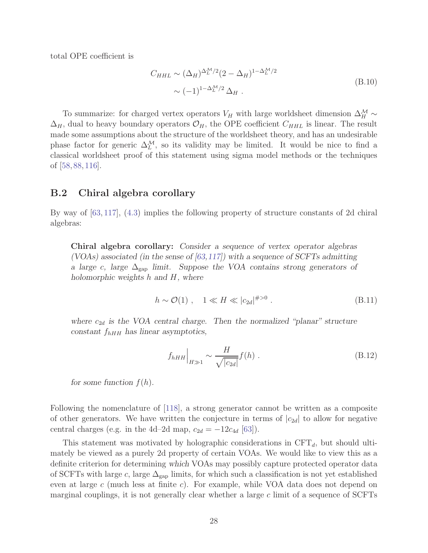total OPE coefficient is

$$
C_{HHL} \sim (\Delta_H)^{\Delta_L^{\mathcal{M}}/2} (2 - \Delta_H)^{1 - \Delta_L^{\mathcal{M}}/2}
$$
  
 
$$
\sim (-1)^{1 - \Delta_L^{\mathcal{M}}/2} \Delta_H.
$$
 (B.10)

To summarize: for charged vertex operators  $V_H$  with large worldsheet dimension  $\Delta_H^{\mathcal{M}}$  ~  $\Delta_H$ , dual to heavy boundary operators  $\mathcal{O}_H$ , the OPE coefficient  $C_{HHL}$  is linear. The result made some assumptions about the structure of the worldsheet theory, and has an undesirable phase factor for generic  $\Delta_L^{\mathcal{M}}$ , so its validity may be limited. It would be nice to find a classical worldsheet proof of this statement using sigma model methods or the techniques of [\[58,](#page-35-12) [88,](#page-38-0) [116\]](#page-39-11).

### <span id="page-28-0"></span>B.2 Chiral algebra corollary

By way of [\[63,](#page-36-4) [117\]](#page-40-0), [\(4.3\)](#page-17-1) implies the following property of structure constants of 2d chiral algebras:

Chiral algebra corollary: Consider a sequence of vertex operator algebras (VOAs) associated (in the sense of  $(63,117)$ ) with a sequence of SCFTs admitting a large c, large  $\Delta_{\text{gap}}$  limit. Suppose the VOA contains strong generators of holomorphic weights h and H, where

$$
h \sim \mathcal{O}(1) \ , \quad 1 \ll H \ll |c_{2d}|^{\#>0} \ . \tag{B.11}
$$

where  $c_{2d}$  is the VOA central charge. Then the normalized "planar" structure constant  $f_{hHH}$  has linear asymptotics,

<span id="page-28-1"></span>
$$
f_{hHH}\Big|_{H\gg 1} \sim \frac{H}{\sqrt{|c_{2d}|}} f(h) \tag{B.12}
$$

for some function  $f(h)$ .

Following the nomenclature of [\[118\]](#page-40-1), a strong generator cannot be written as a composite of other generators. We have written the conjecture in terms of  $|c_{2d}|$  to allow for negative central charges (e.g. in the 4d–2d map,  $c_{2d} = -12c_{4d}$  [\[63\]](#page-36-4)).

This statement was motivated by holographic considerations in  $CFT_d$ , but should ultimately be viewed as a purely 2d property of certain VOAs. We would like to view this as a definite criterion for determining which VOAs may possibly capture protected operator data of SCFTs with large c, large  $\Delta_{\rm gap}$  limits, for which such a classification is not yet established even at large c (much less at finite c). For example, while VOA data does not depend on marginal couplings, it is not generally clear whether a large  $c$  limit of a sequence of SCFTs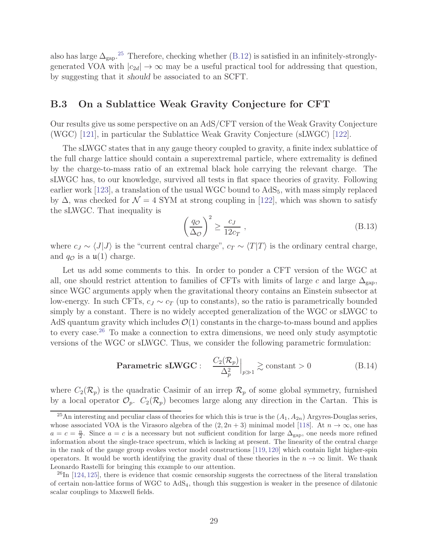<span id="page-29-0"></span>also has large  $\Delta_{\text{gap}}$ .<sup>25</sup> Therefore, checking whether [\(B.12\)](#page-28-1) is satisfied in an infinitely-stronglygenerated VOA with  $|c_{2d}| \to \infty$  may be a useful practical tool for addressing that question, by suggesting that it should be associated to an SCFT.

### B.3 On a Sublattice Weak Gravity Conjecture for CFT

Our results give us some perspective on an AdS/CFT version of the Weak Gravity Conjecture (WGC) [\[121\]](#page-40-2), in particular the Sublattice Weak Gravity Conjecture (sLWGC) [\[122\]](#page-40-3).

The sLWGC states that in any gauge theory coupled to gravity, a finite index sublattice of the full charge lattice should contain a superextremal particle, where extremality is defined by the charge-to-mass ratio of an extremal black hole carrying the relevant charge. The sLWGC has, to our knowledge, survived all tests in flat space theories of gravity. Following earlier work [\[123\]](#page-40-4), a translation of the usual WGC bound to  $AdS_5$ , with mass simply replaced by  $\Delta$ , was checked for  $\mathcal{N} = 4$  SYM at strong coupling in [\[122\]](#page-40-3), which was shown to satisfy the sLWGC. That inequality is

$$
\left(\frac{q_{\mathcal{O}}}{\Delta_{\mathcal{O}}}\right)^2 \ge \frac{c_J}{12c_T},\tag{B.13}
$$

where  $c_J \sim \langle J|J\rangle$  is the "current central charge",  $c_T \sim \langle T|T\rangle$  is the ordinary central charge, and  $q_{\mathcal{O}}$  is a  $\mathfrak{u}(1)$  charge.

Let us add some comments to this. In order to ponder a CFT version of the WGC at all, one should restrict attention to families of CFTs with limits of large c and large  $\Delta_{\text{gap}}$ , since WGC arguments apply when the gravitational theory contains an Einstein subsector at low-energy. In such CFTs,  $c_J \sim c_T$  (up to constants), so the ratio is parametrically bounded simply by a constant. There is no widely accepted generalization of the WGC or sLWGC to AdS quantum gravity which includes  $\mathcal{O}(1)$  constants in the charge-to-mass bound and applies to every case.<sup>26</sup> To make a connection to extra dimensions, we need only study asymptotic versions of the WGC or sLWGC. Thus, we consider the following parametric formulation:

<span id="page-29-1"></span>
$$
\textbf{Parametric sLWGC}: \quad \frac{C_2(\mathcal{R}_p)}{\Delta_p^2}\Big|_{p\gg 1} \gtrsim \text{constant} > 0 \tag{B.14}
$$

where  $C_2(\mathcal{R}_p)$  is the quadratic Casimir of an irrep  $\mathcal{R}_p$  of some global symmetry, furnished by a local operator  $\mathcal{O}_p$ .  $C_2(\mathcal{R}_p)$  becomes large along any direction in the Cartan. This is

<sup>&</sup>lt;sup>25</sup>An interesting and peculiar class of theories for which this is true is the  $(A_1, A_{2n})$  Argyres-Douglas series, whose associated VOA is the Virasoro algebra of the  $(2, 2n + 3)$  minimal model [\[118\]](#page-40-1). At  $n \to \infty$ , one has  $a = c = \frac{n}{2}$ . Since  $a = c$  is a necessary but not sufficient condition for large  $\Delta_{\text{gap}}$ , one needs more refined information about the single-trace spectrum, which is lacking at present. The linearity of the central charge in the rank of the gauge group evokes vector model constructions [\[119,](#page-40-5) [120\]](#page-40-6) which contain light higher-spin operators. It would be worth identifying the gravity dual of these theories in the  $n \to \infty$  limit. We thank Leonardo Rastelli for bringing this example to our attention.

 $^{26}$ In [\[124,](#page-40-7) [125\]](#page-40-8), there is evidence that cosmic censorship suggests the correctness of the literal translation of certain non-lattice forms of WGC to AdS4, though this suggestion is weaker in the presence of dilatonic scalar couplings to Maxwell fields.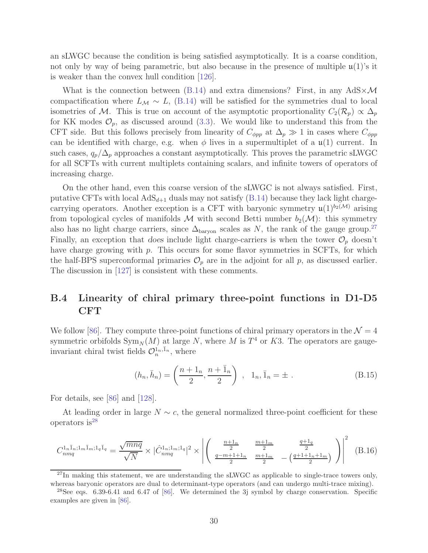an sLWGC because the condition is being satisfied asymptotically. It is a coarse condition, not only by way of being parametric, but also because in the presence of multiple  $\mathfrak{u}(1)$ 's it is weaker than the convex hull condition [\[126\]](#page-40-9).

What is the connection between [\(B.14\)](#page-29-1) and extra dimensions? First, in any  $AdS \times \mathcal{M}$ compactification where  $L_M \sim L$ , [\(B.14\)](#page-29-1) will be satisfied for the symmetries dual to local isometries of M. This is true on account of the asymptotic proportionality  $C_2(\mathcal{R}_p) \propto \Delta_p$ for KK modes  $\mathcal{O}_p$ , as discussed around [\(3.3\)](#page-16-0). We would like to understand this from the CFT side. But this follows precisely from linearity of  $C_{\phi pp}$  at  $\Delta_p \gg 1$  in cases where  $C_{\phi pp}$ can be identified with charge, e.g. when  $\phi$  lives in a supermultiplet of a  $\mathfrak{u}(1)$  current. In such cases,  $q_p/\Delta_p$  approaches a constant asymptotically. This proves the parametric sLWGC for all SCFTs with current multiplets containing scalars, and infinite towers of operators of increasing charge.

On the other hand, even this coarse version of the sLWGC is not always satisfied. First, putative CFTs with local  $AdS_{d+1}$  duals may not satisfy [\(B.14\)](#page-29-1) because they lack light chargecarrying operators. Another exception is a CFT with baryonic symmetry  $\mathfrak{u}(1)^{b_2(\mathcal{M})}$  arising from topological cycles of manifolds  $M$  with second Betti number  $b_2(\mathcal{M})$ : this symmetry also has no light charge carriers, since  $\Delta_{\text{baryon}}$  scales as N, the rank of the gauge group.<sup>27</sup> Finally, an exception that does include light charge-carriers is when the tower  $\mathcal{O}_p$  doesn't have charge growing with  $p$ . This occurs for some flavor symmetries in SCFTs, for which the half-BPS superconformal primaries  $\mathcal{O}_p$  are in the adjoint for all p, as discussed earlier. The discussion in [\[127\]](#page-40-10) is consistent with these comments.

## <span id="page-30-0"></span>B.4 Linearity of chiral primary three-point functions in D1-D5 CFT

We follow [\[86\]](#page-37-10). They compute three-point functions of chiral primary operators in the  $\mathcal{N}=4$ symmetric orbifolds  $\text{Sym}_N(M)$  at large N, where M is  $T^4$  or K3. The operators are gaugeinvariant chiral twist fields  $\mathcal{O}_n^{1_n, \bar{1}_n}$ , where

$$
(h_n, \bar{h}_n) = \left(\frac{n+1_n}{2}, \frac{n+\bar{1}_n}{2}\right), \quad 1_n, \bar{1}_n = \pm. \tag{B.15}
$$

For details, see [\[86\]](#page-37-10) and [\[128\]](#page-40-11).

At leading order in large  $N \sim c$ , the general normalized three-point coefficient for these operators is  $28$ 

<span id="page-30-1"></span>
$$
C_{nmq}^{1_n\bar{1}_n;1_m\bar{1}_m;1_q\bar{1}_q} = \frac{\sqrt{mnq}}{\sqrt{N}} \times |\hat{C}_{nmq}^{1_n;1_m;1_q}|^2 \times \left| \left( \begin{array}{cc} \frac{n+1_n}{2} & \frac{m+1_m}{2} & \frac{q+1_q}{2} \\ \frac{q-m+1+1_n}{2} & \frac{m+1_m}{2} & -\left(\frac{q+1+1_n+1_m}{2}\right) \end{array} \right) \right|^2 \tag{B.16}
$$

 $^{27}$ In making this statement, we are understanding the sLWGC as applicable to single-trace towers only, whereas baryonic operators are dual to determinant-type operators (and can undergo multi-trace mixing).

<sup>&</sup>lt;sup>28</sup>See eqs. 6.39-6.41 and 6.47 of [\[86\]](#page-37-10). We determined the 3j symbol by charge conservation. Specific examples are given in [\[86\]](#page-37-10).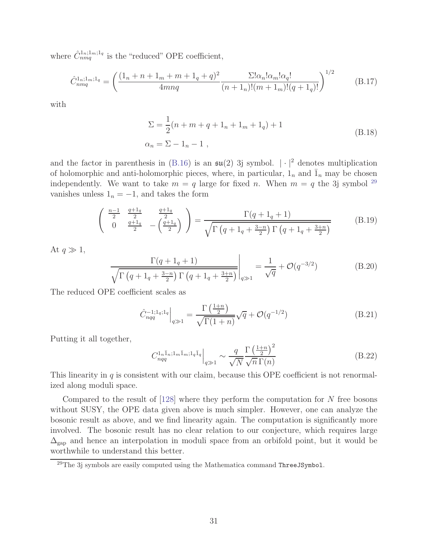where  $\hat{C}_{nmq}^{1_n;1_m;1_q}$  is the "reduced" OPE coefficient,

$$
\hat{C}_{nmq}^{1_n;1_m;1_q} = \left(\frac{(1_n + n + 1_m + m + 1_q + q)^2}{4mnq} \frac{\Sigma! \alpha_n! \alpha_m! \alpha_q!}{(n + 1_n)!(m + 1_m)!(q + 1_q)!}\right)^{1/2}
$$
(B.17)

with

$$
\Sigma = \frac{1}{2}(n + m + q + 1_n + 1_m + 1_q) + 1
$$
  
\n
$$
\alpha_n = \Sigma - 1_n - 1,
$$
\n(B.18)

and the factor in parenthesis in [\(B.16\)](#page-30-1) is an  $\mathfrak{su}(2)$  3j symbol.  $|\cdot|^2$  denotes multiplication of holomorphic and anti-holomorphic pieces, where, in particular,  $1_n$  and  $\overline{1}_n$  may be chosen independently. We want to take  $m = q$  large for fixed n. When  $m = q$  the 3j symbol <sup>29</sup> vanishes unless  $1_n = -1$ , and takes the form

$$
\begin{pmatrix}\n\frac{n-1}{2} & \frac{q+1_q}{2} \\
0 & \frac{q+1_q}{2} \\
\end{pmatrix}\n\begin{pmatrix}\n\frac{q+1_q}{2} \\
-\frac{q+1_q}{2}\n\end{pmatrix}\n=\n\frac{\Gamma(q+1_q+1)}{\sqrt{\Gamma(q+1_q+\frac{3-n}{2})\Gamma(q+1_q+\frac{3+n}{2})}}\n\tag{B.19}
$$

At  $q \gg 1$ ,

$$
\frac{\Gamma(q+1_q+1)}{\sqrt{\Gamma(q+1_q+\frac{3-n}{2})\Gamma(q+1_q+\frac{3+n}{2})}}\bigg|_{q\gg1} = \frac{1}{\sqrt{q}} + \mathcal{O}(q^{-3/2})
$$
(B.20)

The reduced OPE coefficient scales as

$$
\hat{C}_{nqq}^{-1;1_{q};1_{q}}\Big|_{q\gg 1} = \frac{\Gamma\left(\frac{1+n}{2}\right)}{\sqrt{\Gamma(1+n)}}\sqrt{q} + \mathcal{O}(q^{-1/2})\tag{B.21}
$$

Putting it all together,

$$
C_{nqq}^{1_n\bar{1}_n;1_m\bar{1}_m;1_q\bar{1}_q}\Big|_{q\gg 1} \sim \frac{q}{\sqrt{N}} \frac{\Gamma\left(\frac{1+n}{2}\right)^2}{\sqrt{n}\,\Gamma(n)}\tag{B.22}
$$

This linearity in  $q$  is consistent with our claim, because this OPE coefficient is not renormalized along moduli space.

Compared to the result of  $[128]$  where they perform the computation for N free bosons without SUSY, the OPE data given above is much simpler. However, one can analyze the bosonic result as above, and we find linearity again. The computation is significantly more involved. The bosonic result has no clear relation to our conjecture, which requires large  $\Delta_{\rm gap}$  and hence an interpolation in moduli space from an orbifold point, but it would be worthwhile to understand this better.

 $29$ The 3j symbols are easily computed using the Mathematica command ThreeJSymbol.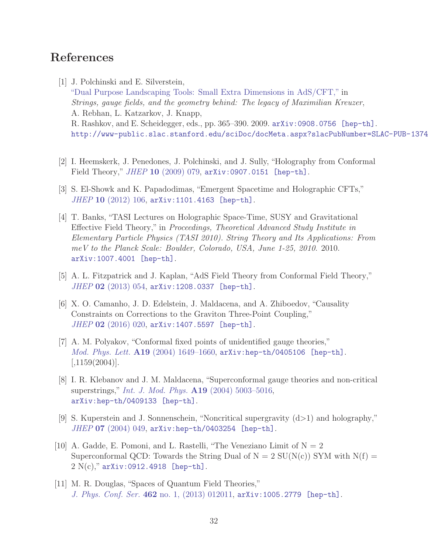## <span id="page-32-0"></span>References

- [1] J. Polchinski and E. Silverstein, ["Dual Purpose Landscaping Tools: Small Extra Dimensions in AdS/CFT,"](http://dx.doi.org/10.1142/9789814412551_0018) in Strings, gauge fields, and the geometry behind: The legacy of Maximilian Kreuzer, A. Rebhan, L. Katzarkov, J. Knapp, R. Rashkov, and E. Scheidegger, eds., pp. 365–390. 2009. [arXiv:0908.0756 \[hep-th\]](http://arxiv.org/abs/0908.0756). <http://www-public.slac.stanford.edu/sciDoc/docMeta.aspx?slacPubNumber=SLAC-PUB-13748>.
- <span id="page-32-2"></span>[2] I. Heemskerk, J. Penedones, J. Polchinski, and J. Sully, "Holography from Conformal Field Theory," JHEP 10 [\(2009\) 079,](http://dx.doi.org/10.1088/1126-6708/2009/10/079) [arXiv:0907.0151 \[hep-th\]](http://arxiv.org/abs/0907.0151).
- [3] S. El-Showk and K. Papadodimas, "Emergent Spacetime and Holographic CFTs," JHEP 10 [\(2012\) 106,](http://dx.doi.org/10.1007/JHEP10(2012)106) [arXiv:1101.4163 \[hep-th\]](http://arxiv.org/abs/1101.4163).
- [4] T. Banks, "TASI Lectures on Holographic Space-Time, SUSY and Gravitational Effective Field Theory," in Proceedings, Theoretical Advanced Study Institute in Elementary Particle Physics (TASI 2010). String Theory and Its Applications: From meV to the Planck Scale: Boulder, Colorado, USA, June 1-25, 2010. 2010. [arXiv:1007.4001 \[hep-th\]](http://arxiv.org/abs/1007.4001).
- <span id="page-32-3"></span><span id="page-32-1"></span>[5] A. L. Fitzpatrick and J. Kaplan, "AdS Field Theory from Conformal Field Theory,"  $JHEP$  02 [\(2013\) 054,](http://dx.doi.org/10.1007/JHEP02(2013)054) [arXiv:1208.0337 \[hep-th\]](http://arxiv.org/abs/1208.0337).
- [6] X. O. Camanho, J. D. Edelstein, J. Maldacena, and A. Zhiboedov, "Causality Constraints on Corrections to the Graviton Three-Point Coupling," JHEP 02 [\(2016\) 020,](http://dx.doi.org/10.1007/JHEP02(2016)020) [arXiv:1407.5597 \[hep-th\]](http://arxiv.org/abs/1407.5597).
- <span id="page-32-4"></span>[7] A. M. Polyakov, "Conformal fixed points of unidentified gauge theories," Mod. Phys. Lett.  $A19$  (2004) 1649-1660, [arXiv:hep-th/0405106 \[hep-th\]](http://arxiv.org/abs/hep-th/0405106).  $|,1159(2004)|.$
- [8] I. R. Klebanov and J. M. Maldacena, "Superconformal gauge theories and non-critical superstrings," [Int. J. Mod. Phys.](http://dx.doi.org/10.1142/S0217751X04020865) A19 (2004) 5003–5016, [arXiv:hep-th/0409133 \[hep-th\]](http://arxiv.org/abs/hep-th/0409133).
- [9] S. Kuperstein and J. Sonnenschein, "Noncritical supergravity (d>1) and holography,"  $JHEP$  07 [\(2004\) 049,](http://dx.doi.org/10.1088/1126-6708/2004/07/049) [arXiv:hep-th/0403254 \[hep-th\]](http://arxiv.org/abs/hep-th/0403254).
- [10] A. Gadde, E. Pomoni, and L. Rastelli, "The Veneziano Limit of  $N = 2$ Superconformal QCD: Towards the String Dual of  $N = 2$  SU(N(c)) SYM with  $N(f) =$  $2 N(c)$ ," [arXiv:0912.4918 \[hep-th\]](http://arxiv.org/abs/0912.4918).
- <span id="page-32-5"></span>[11] M. R. Douglas, "Spaces of Quantum Field Theories," J. Phys. Conf. Ser. 462 [no. 1, \(2013\) 012011,](http://dx.doi.org/10.1088/1742-6596/462/1/012011) [arXiv:1005.2779 \[hep-th\]](http://arxiv.org/abs/1005.2779).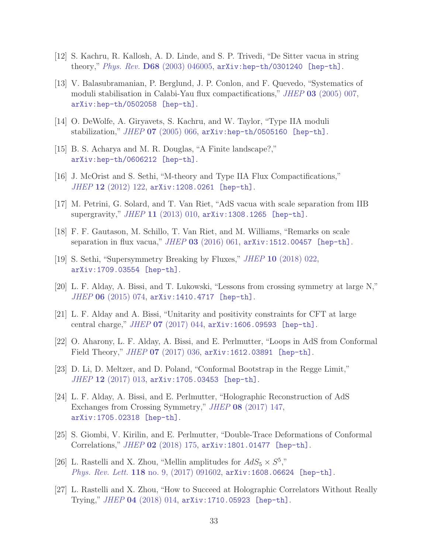- <span id="page-33-4"></span>[12] S. Kachru, R. Kallosh, A. D. Linde, and S. P. Trivedi, "De Sitter vacua in string theory," Phys. Rev. D68 [\(2003\) 046005,](http://dx.doi.org/10.1103/PhysRevD.68.046005) [arXiv:hep-th/0301240 \[hep-th\]](http://arxiv.org/abs/hep-th/0301240).
- [13] V. Balasubramanian, P. Berglund, J. P. Conlon, and F. Quevedo, "Systematics of moduli stabilisation in Calabi-Yau flux compactifications," JHEP 03 [\(2005\) 007,](http://dx.doi.org/10.1088/1126-6708/2005/03/007) [arXiv:hep-th/0502058 \[hep-th\]](http://arxiv.org/abs/hep-th/0502058).
- [14] O. DeWolfe, A. Giryavets, S. Kachru, and W. Taylor, "Type IIA moduli stabilization,"  $JHEP$  07 [\(2005\) 066,](http://dx.doi.org/10.1088/1126-6708/2005/07/066)  $arXiv:hep-th/0505160$  [hep-th].
- [15] B. S. Acharya and M. R. Douglas, "A Finite landscape?," [arXiv:hep-th/0606212 \[hep-th\]](http://arxiv.org/abs/hep-th/0606212).
- [16] J. McOrist and S. Sethi, "M-theory and Type IIA Flux Compactifications," JHEP 12 [\(2012\) 122,](http://dx.doi.org/10.1007/JHEP12(2012)122) [arXiv:1208.0261 \[hep-th\]](http://arxiv.org/abs/1208.0261).
- [17] M. Petrini, G. Solard, and T. Van Riet, "AdS vacua with scale separation from IIB supergravity," JHEP 11 [\(2013\) 010,](http://dx.doi.org/10.1007/JHEP11(2013)010) [arXiv:1308.1265 \[hep-th\]](http://arxiv.org/abs/1308.1265).
- <span id="page-33-5"></span>[18] F. F. Gautason, M. Schillo, T. Van Riet, and M. Williams, "Remarks on scale separation in flux vacua," JHEP 03 [\(2016\) 061,](http://dx.doi.org/10.1007/JHEP03(2016)061)  $arXiv:1512.00457$  [hep-th].
- <span id="page-33-0"></span>[19] S. Sethi, "Supersymmetry Breaking by Fluxes," JHEP 10 [\(2018\) 022,](http://dx.doi.org/10.1007/JHEP10(2018)022) [arXiv:1709.03554 \[hep-th\]](http://arxiv.org/abs/1709.03554).
- [20] L. F. Alday, A. Bissi, and T. Lukowski, "Lessons from crossing symmetry at large N," JHEP 06 [\(2015\) 074,](http://dx.doi.org/10.1007/JHEP06(2015)074) [arXiv:1410.4717 \[hep-th\]](http://arxiv.org/abs/1410.4717).
- <span id="page-33-3"></span>[21] L. F. Alday and A. Bissi, "Unitarity and positivity constraints for CFT at large central charge," JHEP 07 [\(2017\) 044,](http://dx.doi.org/10.1007/JHEP07(2017)044) [arXiv:1606.09593 \[hep-th\]](http://arxiv.org/abs/1606.09593).
- [22] O. Aharony, L. F. Alday, A. Bissi, and E. Perlmutter, "Loops in AdS from Conformal Field Theory," *JHEP* 07 [\(2017\) 036,](http://dx.doi.org/10.1007/JHEP07(2017)036) [arXiv:1612.03891 \[hep-th\]](http://arxiv.org/abs/1612.03891).
- [23] D. Li, D. Meltzer, and D. Poland, "Conformal Bootstrap in the Regge Limit," JHEP 12 [\(2017\) 013,](http://dx.doi.org/10.1007/JHEP12(2017)013) [arXiv:1705.03453 \[hep-th\]](http://arxiv.org/abs/1705.03453).
- <span id="page-33-6"></span>[24] L. F. Alday, A. Bissi, and E. Perlmutter, "Holographic Reconstruction of AdS Exchanges from Crossing Symmetry," JHEP 08 [\(2017\) 147,](http://dx.doi.org/10.1007/JHEP08(2017)147) [arXiv:1705.02318 \[hep-th\]](http://arxiv.org/abs/1705.02318).
- <span id="page-33-1"></span>[25] S. Giombi, V. Kirilin, and E. Perlmutter, "Double-Trace Deformations of Conformal Correlations," JHEP 02 [\(2018\) 175,](http://dx.doi.org/10.1007/JHEP02(2018)175) [arXiv:1801.01477 \[hep-th\]](http://arxiv.org/abs/1801.01477).
- <span id="page-33-2"></span>[26] L. Rastelli and X. Zhou, "Mellin amplitudes for  $AdS_5 \times S^5$ ," Phys. Rev. Lett. 118 no. 9,  $(2017)$  091602, [arXiv:1608.06624 \[hep-th\]](http://arxiv.org/abs/1608.06624).
- [27] L. Rastelli and X. Zhou, "How to Succeed at Holographic Correlators Without Really Trying," JHEP 04 [\(2018\) 014,](http://dx.doi.org/10.1007/JHEP04(2018)014) [arXiv:1710.05923 \[hep-th\]](http://arxiv.org/abs/1710.05923).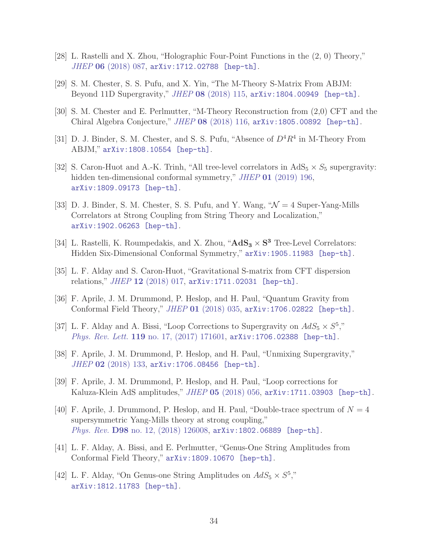- [28] L. Rastelli and X. Zhou, "Holographic Four-Point Functions in the (2, 0) Theory," JHEP 06 [\(2018\) 087,](http://dx.doi.org/10.1007/JHEP06(2018)087) [arXiv:1712.02788 \[hep-th\]](http://arxiv.org/abs/1712.02788).
- [29] S. M. Chester, S. S. Pufu, and X. Yin, "The M-Theory S-Matrix From ABJM: Beyond 11D Supergravity," *JHEP* 08 [\(2018\) 115,](http://dx.doi.org/10.1007/JHEP08(2018)115) [arXiv:1804.00949 \[hep-th\]](http://arxiv.org/abs/1804.00949).
- [30] S. M. Chester and E. Perlmutter, "M-Theory Reconstruction from (2,0) CFT and the Chiral Algebra Conjecture," JHEP 08 [\(2018\) 116,](http://dx.doi.org/10.1007/JHEP08(2018)116) [arXiv:1805.00892 \[hep-th\]](http://arxiv.org/abs/1805.00892).
- [31] D. J. Binder, S. M. Chester, and S. S. Pufu, "Absence of  $D^4R^4$  in M-Theory From ABJM," [arXiv:1808.10554 \[hep-th\]](http://arxiv.org/abs/1808.10554).
- [32] S. Caron-Huot and A.-K. Trinh, "All tree-level correlators in  $AdS_5 \times S_5$  supergravity: hidden ten-dimensional conformal symmetry," JHEP 01 [\(2019\) 196,](http://dx.doi.org/10.1007/JHEP01(2019)196) [arXiv:1809.09173 \[hep-th\]](http://arxiv.org/abs/1809.09173).
- [33] D. J. Binder, S. M. Chester, S. S. Pufu, and Y. Wang,  $\mathcal{W} = 4$  Super-Yang-Mills Correlators at Strong Coupling from String Theory and Localization," [arXiv:1902.06263 \[hep-th\]](http://arxiv.org/abs/1902.06263).
- <span id="page-34-0"></span>[34] L. Rastelli, K. Roumpedakis, and X. Zhou, " $\mathbf{AdS}_3 \times \mathbf{S}^3$  Tree-Level Correlators: Hidden Six-Dimensional Conformal Symmetry," [arXiv:1905.11983 \[hep-th\]](http://arxiv.org/abs/1905.11983).
- <span id="page-34-1"></span>[35] L. F. Alday and S. Caron-Huot, "Gravitational S-matrix from CFT dispersion relations," JHEP 12 [\(2018\) 017,](http://dx.doi.org/10.1007/JHEP12(2018)017) [arXiv:1711.02031 \[hep-th\]](http://arxiv.org/abs/1711.02031).
- [36] F. Aprile, J. M. Drummond, P. Heslop, and H. Paul, "Quantum Gravity from Conformal Field Theory," JHEP 01 [\(2018\) 035,](http://dx.doi.org/10.1007/JHEP01(2018)035) [arXiv:1706.02822 \[hep-th\]](http://arxiv.org/abs/1706.02822).
- <span id="page-34-2"></span>[37] L. F. Alday and A. Bissi, "Loop Corrections to Supergravity on  $AdS_5 \times S^5$ ," Phys. Rev. Lett. 119 [no. 17, \(2017\) 171601,](http://dx.doi.org/10.1103/PhysRevLett.119.171601) arXiv: 1706.02388 [hep-th].
- <span id="page-34-3"></span>[38] F. Aprile, J. M. Drummond, P. Heslop, and H. Paul, "Unmixing Supergravity," JHEP 02 [\(2018\) 133,](http://dx.doi.org/10.1007/JHEP02(2018)133) [arXiv:1706.08456 \[hep-th\]](http://arxiv.org/abs/1706.08456).
- [39] F. Aprile, J. M. Drummond, P. Heslop, and H. Paul, "Loop corrections for Kaluza-Klein AdS amplitudes," JHEP 05 [\(2018\) 056,](http://dx.doi.org/10.1007/JHEP05(2018)056) [arXiv:1711.03903 \[hep-th\]](http://arxiv.org/abs/1711.03903).
- [40] F. Aprile, J. Drummond, P. Heslop, and H. Paul, "Double-trace spectrum of  $N = 4$ supersymmetric Yang-Mills theory at strong coupling," Phys. Rev. **D98** [no. 12, \(2018\) 126008,](http://dx.doi.org/10.1103/PhysRevD.98.126008) [arXiv:1802.06889 \[hep-th\]](http://arxiv.org/abs/1802.06889).
- [41] L. F. Alday, A. Bissi, and E. Perlmutter, "Genus-One String Amplitudes from Conformal Field Theory," [arXiv:1809.10670 \[hep-th\]](http://arxiv.org/abs/1809.10670).
- [42] L. F. Alday, "On Genus-one String Amplitudes on  $AdS_5 \times S^5$ ," [arXiv:1812.11783 \[hep-th\]](http://arxiv.org/abs/1812.11783).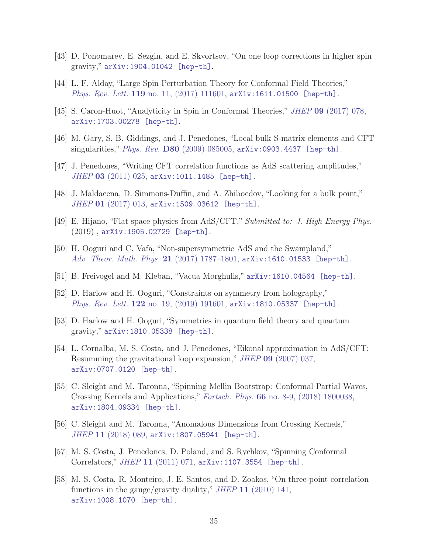- <span id="page-35-1"></span><span id="page-35-0"></span>[43] D. Ponomarev, E. Sezgin, and E. Skvortsov, "On one loop corrections in higher spin gravity," [arXiv:1904.01042 \[hep-th\]](http://arxiv.org/abs/1904.01042).
- <span id="page-35-2"></span>[44] L. F. Alday, "Large Spin Perturbation Theory for Conformal Field Theories," *Phys. Rev. Lett.* **119** no. 11,  $(2017)$  111601,  $\text{arXiv:1611.01500}$  [hep-th].
- <span id="page-35-3"></span>[45] S. Caron-Huot, "Analyticity in Spin in Conformal Theories," JHEP 09 [\(2017\) 078,](http://dx.doi.org/10.1007/JHEP09(2017)078) [arXiv:1703.00278 \[hep-th\]](http://arxiv.org/abs/1703.00278).
- [46] M. Gary, S. B. Giddings, and J. Penedones, "Local bulk S-matrix elements and CFT singularities," Phys. Rev. D80 [\(2009\) 085005,](http://dx.doi.org/10.1103/PhysRevD.80.085005) [arXiv:0903.4437 \[hep-th\]](http://arxiv.org/abs/0903.4437).
- <span id="page-35-7"></span>[47] J. Penedones, "Writing CFT correlation functions as AdS scattering amplitudes," JHEP 03 [\(2011\) 025,](http://dx.doi.org/10.1007/JHEP03(2011)025) [arXiv:1011.1485 \[hep-th\]](http://arxiv.org/abs/1011.1485).
- <span id="page-35-4"></span>[48] J. Maldacena, D. Simmons-Duffin, and A. Zhiboedov, "Looking for a bulk point,"  $JHEP$  01 [\(2017\) 013,](http://dx.doi.org/10.1007/JHEP01(2017)013) [arXiv:1509.03612 \[hep-th\]](http://arxiv.org/abs/1509.03612).
- <span id="page-35-5"></span>[49] E. Hijano, "Flat space physics from AdS/CFT," Submitted to: J. High Energy Phys. (2019) , [arXiv:1905.02729 \[hep-th\]](http://arxiv.org/abs/1905.02729).
- <span id="page-35-13"></span>[50] H. Ooguri and C. Vafa, "Non-supersymmetric AdS and the Swampland," [Adv. Theor. Math. Phys.](http://dx.doi.org/10.4310/ATMP.2017.v21.n7.a8) 21 (2017) 1787-1801, [arXiv:1610.01533 \[hep-th\]](http://arxiv.org/abs/1610.01533).
- <span id="page-35-14"></span>[51] B. Freivogel and M. Kleban, "Vacua Morghulis," [arXiv:1610.04564 \[hep-th\]](http://arxiv.org/abs/1610.04564).
- <span id="page-35-6"></span>[52] D. Harlow and H. Ooguri, "Constraints on symmetry from holography," Phys. Rev. Lett. 122 [no. 19, \(2019\) 191601,](http://dx.doi.org/10.1103/PhysRevLett.122.191601) [arXiv:1810.05337 \[hep-th\]](http://arxiv.org/abs/1810.05337).
- <span id="page-35-8"></span>[53] D. Harlow and H. Ooguri, "Symmetries in quantum field theory and quantum gravity," [arXiv:1810.05338 \[hep-th\]](http://arxiv.org/abs/1810.05338).
- [54] L. Cornalba, M. S. Costa, and J. Penedones, "Eikonal approximation in AdS/CFT: Resumming the gravitational loop expansion," JHEP 09 [\(2007\) 037,](http://dx.doi.org/10.1088/1126-6708/2007/09/037) [arXiv:0707.0120 \[hep-th\]](http://arxiv.org/abs/0707.0120).
- <span id="page-35-9"></span>[55] C. Sleight and M. Taronna, "Spinning Mellin Bootstrap: Conformal Partial Waves, Crossing Kernels and Applications," Fortsch. Phys. 66 [no. 8-9, \(2018\) 1800038,](http://dx.doi.org/10.1002/prop.201800038) [arXiv:1804.09334 \[hep-th\]](http://arxiv.org/abs/1804.09334).
- <span id="page-35-11"></span><span id="page-35-10"></span>[56] C. Sleight and M. Taronna, "Anomalous Dimensions from Crossing Kernels," JHEP 11 [\(2018\) 089,](http://dx.doi.org/10.1007/JHEP11(2018)089) [arXiv:1807.05941 \[hep-th\]](http://arxiv.org/abs/1807.05941).
- [57] M. S. Costa, J. Penedones, D. Poland, and S. Rychkov, "Spinning Conformal Correlators," JHEP 11 [\(2011\) 071,](http://dx.doi.org/10.1007/JHEP11(2011)071) [arXiv:1107.3554 \[hep-th\]](http://arxiv.org/abs/1107.3554).
- <span id="page-35-12"></span>[58] M. S. Costa, R. Monteiro, J. E. Santos, and D. Zoakos, "On three-point correlation functions in the gauge/gravity duality," JHEP 11  $(2010)$  141, [arXiv:1008.1070 \[hep-th\]](http://arxiv.org/abs/1008.1070).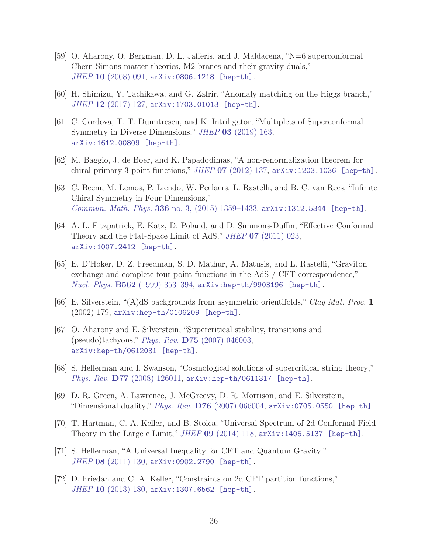- <span id="page-36-0"></span>[59] O. Aharony, O. Bergman, D. L. Jafferis, and J. Maldacena, "N=6 superconformal Chern-Simons-matter theories, M2-branes and their gravity duals," JHEP 10 [\(2008\) 091,](http://dx.doi.org/10.1088/1126-6708/2008/10/091) [arXiv:0806.1218 \[hep-th\]](http://arxiv.org/abs/0806.1218).
- <span id="page-36-2"></span><span id="page-36-1"></span>[60] H. Shimizu, Y. Tachikawa, and G. Zafrir, "Anomaly matching on the Higgs branch,"  $JHEP$  12 [\(2017\) 127,](http://dx.doi.org/10.1007/JHEP12(2017)127) [arXiv:1703.01013 \[hep-th\]](http://arxiv.org/abs/1703.01013).
- [61] C. Cordova, T. T. Dumitrescu, and K. Intriligator, "Multiplets of Superconformal Symmetry in Diverse Dimensions," JHEP 03 [\(2019\) 163,](http://dx.doi.org/10.1007/JHEP03(2019)163) [arXiv:1612.00809 \[hep-th\]](http://arxiv.org/abs/1612.00809).
- <span id="page-36-4"></span><span id="page-36-3"></span>[62] M. Baggio, J. de Boer, and K. Papadodimas, "A non-renormalization theorem for chiral primary 3-point functions," *JHEP*  $07$  [\(2012\) 137,](http://dx.doi.org/10.1007/JHEP07(2012)137) [arXiv:1203.1036 \[hep-th\]](http://arxiv.org/abs/1203.1036).
- [63] C. Beem, M. Lemos, P. Liendo, W. Peelaers, L. Rastelli, and B. C. van Rees, "Infinite Chiral Symmetry in Four Dimensions," Commun. Math. Phys. 336 [no. 3, \(2015\) 1359–1433,](http://dx.doi.org/10.1007/s00220-014-2272-x) [arXiv:1312.5344 \[hep-th\]](http://arxiv.org/abs/1312.5344).
- <span id="page-36-5"></span>[64] A. L. Fitzpatrick, E. Katz, D. Poland, and D. Simmons-Duffin, "Effective Conformal Theory and the Flat-Space Limit of AdS," *JHEP* 07 [\(2011\) 023,](http://dx.doi.org/10.1007/JHEP07(2011)023) [arXiv:1007.2412 \[hep-th\]](http://arxiv.org/abs/1007.2412).
- <span id="page-36-6"></span>[65] E. D'Hoker, D. Z. Freedman, S. D. Mathur, A. Matusis, and L. Rastelli, "Graviton exchange and complete four point functions in the AdS / CFT correspondence," *Nucl. Phys.*  $B562$  (1999) 353-394,  $arXiv:hep-th/9903196$  [hep-th].
- <span id="page-36-9"></span>[66] E. Silverstein, "(A)dS backgrounds from asymmetric orientifolds," Clay Mat. Proc. 1 (2002) 179, [arXiv:hep-th/0106209 \[hep-th\]](http://arxiv.org/abs/hep-th/0106209).
- [67] O. Aharony and E. Silverstein, "Supercritical stability, transitions and (pseudo)tachyons," Phys. Rev. D75 [\(2007\) 046003,](http://dx.doi.org/10.1103/PhysRevD.75.046003) [arXiv:hep-th/0612031 \[hep-th\]](http://arxiv.org/abs/hep-th/0612031).
- <span id="page-36-10"></span>[68] S. Hellerman and I. Swanson, "Cosmological solutions of supercritical string theory," Phys. Rev. **D77** [\(2008\) 126011,](http://dx.doi.org/10.1103/PhysRevD.77.126011) [arXiv:hep-th/0611317 \[hep-th\]](http://arxiv.org/abs/hep-th/0611317).
- <span id="page-36-7"></span>[69] D. R. Green, A. Lawrence, J. McGreevy, D. R. Morrison, and E. Silverstein, "Dimensional duality," Phys. Rev. D76 [\(2007\) 066004,](http://dx.doi.org/10.1103/PhysRevD.76.066004)  $arXiv:0705.0550$  [hep-th].
- <span id="page-36-8"></span>[70] T. Hartman, C. A. Keller, and B. Stoica, "Universal Spectrum of 2d Conformal Field Theory in the Large c Limit," JHEP 09 [\(2014\) 118,](http://dx.doi.org/10.1007/JHEP09(2014)118) [arXiv:1405.5137 \[hep-th\]](http://arxiv.org/abs/1405.5137).
- [71] S. Hellerman, "A Universal Inequality for CFT and Quantum Gravity," JHEP 08 [\(2011\) 130,](http://dx.doi.org/10.1007/JHEP08(2011)130) [arXiv:0902.2790 \[hep-th\]](http://arxiv.org/abs/0902.2790).
- [72] D. Friedan and C. A. Keller, "Constraints on 2d CFT partition functions," JHEP 10 [\(2013\) 180,](http://dx.doi.org/10.1007/JHEP10(2013)180) [arXiv:1307.6562 \[hep-th\]](http://arxiv.org/abs/1307.6562).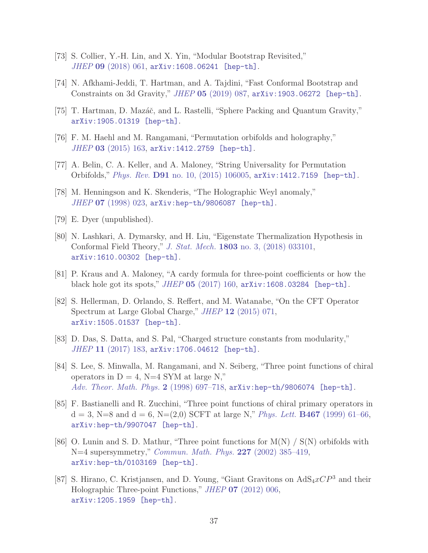- [73] S. Collier, Y.-H. Lin, and X. Yin, "Modular Bootstrap Revisited," JHEP 09 [\(2018\) 061,](http://dx.doi.org/10.1007/JHEP09(2018)061) [arXiv:1608.06241 \[hep-th\]](http://arxiv.org/abs/1608.06241).
- <span id="page-37-0"></span>[74] N. Afkhami-Jeddi, T. Hartman, and A. Tajdini, "Fast Conformal Bootstrap and Constraints on 3d Gravity," JHEP 05 [\(2019\) 087,](http://dx.doi.org/10.1007/JHEP05(2019)087) [arXiv:1903.06272 \[hep-th\]](http://arxiv.org/abs/1903.06272).
- <span id="page-37-1"></span>[75] T. Hartman, D. Mazáč, and L. Rastelli, "Sphere Packing and Quantum Gravity," [arXiv:1905.01319 \[hep-th\]](http://arxiv.org/abs/1905.01319).
- <span id="page-37-2"></span>[76] F. M. Haehl and M. Rangamani, "Permutation orbifolds and holography," JHEP 03 [\(2015\) 163,](http://dx.doi.org/10.1007/JHEP03(2015)163) [arXiv:1412.2759 \[hep-th\]](http://arxiv.org/abs/1412.2759).
- <span id="page-37-3"></span>[77] A. Belin, C. A. Keller, and A. Maloney, "String Universality for Permutation Orbifolds," Phys. Rev. D91 [no. 10, \(2015\) 106005,](http://dx.doi.org/10.1103/PhysRevD.91.106005) [arXiv:1412.7159 \[hep-th\]](http://arxiv.org/abs/1412.7159).
- <span id="page-37-7"></span>[78] M. Henningson and K. Skenderis, "The Holographic Weyl anomaly," JHEP 07 [\(1998\) 023,](http://dx.doi.org/10.1088/1126-6708/1998/07/023) [arXiv:hep-th/9806087 \[hep-th\]](http://arxiv.org/abs/hep-th/9806087).
- <span id="page-37-4"></span>[79] E. Dyer (unpublished).
- [80] N. Lashkari, A. Dymarsky, and H. Liu, "Eigenstate Thermalization Hypothesis in Conformal Field Theory," J. Stat. Mech. 1803 [no. 3, \(2018\) 033101,](http://dx.doi.org/10.1088/1742-5468/aab020) [arXiv:1610.00302 \[hep-th\]](http://arxiv.org/abs/1610.00302).
- <span id="page-37-6"></span><span id="page-37-5"></span>[81] P. Kraus and A. Maloney, "A cardy formula for three-point coefficients or how the black hole got its spots," JHEP 05 [\(2017\) 160,](http://dx.doi.org/10.1007/JHEP05(2017)160) [arXiv:1608.03284 \[hep-th\]](http://arxiv.org/abs/1608.03284).
- [82] S. Hellerman, D. Orlando, S. Reffert, and M. Watanabe, "On the CFT Operator Spectrum at Large Global Charge," JHEP 12 [\(2015\) 071,](http://dx.doi.org/10.1007/JHEP12(2015)071) [arXiv:1505.01537 \[hep-th\]](http://arxiv.org/abs/1505.01537).
- <span id="page-37-8"></span>[83] D. Das, S. Datta, and S. Pal, "Charged structure constants from modularity," JHEP 11 [\(2017\) 183,](http://dx.doi.org/10.1007/JHEP11(2017)183) [arXiv:1706.04612 \[hep-th\]](http://arxiv.org/abs/1706.04612).
- <span id="page-37-9"></span>[84] S. Lee, S. Minwalla, M. Rangamani, and N. Seiberg, "Three point functions of chiral operators in  $D = 4$ , N=4 SYM at large N," [Adv. Theor. Math. Phys.](http://dx.doi.org/10.4310/ATMP.1998.v2.n4.a1) 2 (1998) 697-718,  $arXiv:hep-th/9806074$  [hep-th].
- [85] F. Bastianelli and R. Zucchini, "Three point functions of chiral primary operators in  $d = 3$ , N=8 and  $d = 6$ , N= $(2,0)$  SCFT at large N," Phys. Lett. **B467** [\(1999\) 61–66,](http://dx.doi.org/10.1016/S0370-2693(99)01179-X) [arXiv:hep-th/9907047 \[hep-th\]](http://arxiv.org/abs/hep-th/9907047).
- <span id="page-37-10"></span>[86] O. Lunin and S. D. Mathur, "Three point functions for  $M(N) / S(N)$  orbifolds with N=4 supersymmetry," [Commun. Math. Phys.](http://dx.doi.org/10.1007/s002200200638) 227 (2002) 385–419, [arXiv:hep-th/0103169 \[hep-th\]](http://arxiv.org/abs/hep-th/0103169).
- <span id="page-37-11"></span>[87] S. Hirano, C. Kristjansen, and D. Young, "Giant Gravitons on  $AdS_4xCP^3$  and their Holographic Three-point Functions," JHEP 07 [\(2012\) 006,](http://dx.doi.org/10.1007/JHEP07(2012)006) [arXiv:1205.1959 \[hep-th\]](http://arxiv.org/abs/1205.1959).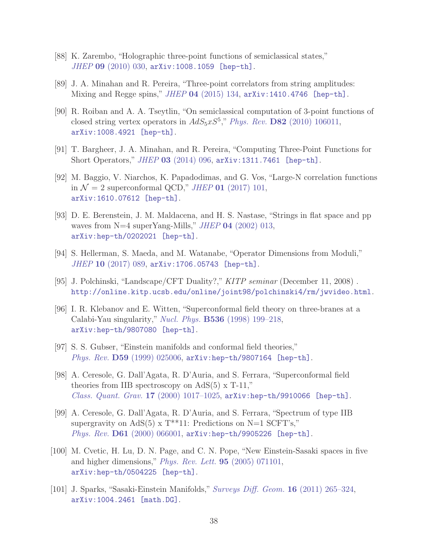- <span id="page-38-3"></span><span id="page-38-0"></span>[88] K. Zarembo, "Holographic three-point functions of semiclassical states," JHEP 09 [\(2010\) 030,](http://dx.doi.org/10.1007/JHEP09(2010)030) [arXiv:1008.1059 \[hep-th\]](http://arxiv.org/abs/1008.1059).
- <span id="page-38-1"></span>[89] J. A. Minahan and R. Pereira, "Three-point correlators from string amplitudes: Mixing and Regge spins," JHEP 04 [\(2015\) 134,](http://dx.doi.org/10.1007/JHEP04(2015)134) [arXiv:1410.4746 \[hep-th\]](http://arxiv.org/abs/1410.4746).
- [90] R. Roiban and A. A. Tseytlin, "On semiclassical computation of 3-point functions of closed string vertex operators in  $AdS_5xS^5$ ," Phys. Rev. D82 [\(2010\) 106011,](http://dx.doi.org/10.1103/PhysRevD.82.106011) [arXiv:1008.4921 \[hep-th\]](http://arxiv.org/abs/1008.4921).
- <span id="page-38-4"></span><span id="page-38-2"></span>[91] T. Bargheer, J. A. Minahan, and R. Pereira, "Computing Three-Point Functions for Short Operators," JHEP 03 [\(2014\) 096,](http://dx.doi.org/10.1007/JHEP03(2014)096) [arXiv:1311.7461 \[hep-th\]](http://arxiv.org/abs/1311.7461).
- [92] M. Baggio, V. Niarchos, K. Papadodimas, and G. Vos, "Large-N correlation functions in  $\mathcal{N} = 2$  superconformal QCD," JHEP 01 [\(2017\) 101,](http://dx.doi.org/10.1007/JHEP01(2017)101) [arXiv:1610.07612 \[hep-th\]](http://arxiv.org/abs/1610.07612).
- <span id="page-38-5"></span>[93] D. E. Berenstein, J. M. Maldacena, and H. S. Nastase, "Strings in flat space and pp waves from  $N=4$  superYang-Mills," JHEP 04 [\(2002\) 013,](http://dx.doi.org/10.1088/1126-6708/2002/04/013) [arXiv:hep-th/0202021 \[hep-th\]](http://arxiv.org/abs/hep-th/0202021).
- <span id="page-38-7"></span><span id="page-38-6"></span>[94] S. Hellerman, S. Maeda, and M. Watanabe, "Operator Dimensions from Moduli," JHEP 10 [\(2017\) 089,](http://dx.doi.org/10.1007/JHEP10(2017)089) [arXiv:1706.05743 \[hep-th\]](http://arxiv.org/abs/1706.05743).
- <span id="page-38-8"></span>[95] J. Polchinski, "Landscape/CFT Duality?," KITP seminar (December 11, 2008) . <http://online.kitp.ucsb.edu/online/joint98/polchinski4/rm/jwvideo.html>.
- [96] I. R. Klebanov and E. Witten, "Superconformal field theory on three-branes at a Calabi-Yau singularity," Nucl. Phys. B536 [\(1998\) 199–218,](http://dx.doi.org/10.1016/S0550-3213(98)00654-3) [arXiv:hep-th/9807080 \[hep-th\]](http://arxiv.org/abs/hep-th/9807080).
- <span id="page-38-9"></span>[97] S. S. Gubser, "Einstein manifolds and conformal field theories," Phys. Rev. **D59** [\(1999\) 025006,](http://dx.doi.org/10.1103/PhysRevD.59.025006) [arXiv:hep-th/9807164 \[hep-th\]](http://arxiv.org/abs/hep-th/9807164).
- [98] A. Ceresole, G. Dall'Agata, R. D'Auria, and S. Ferrara, "Superconformal field theories from IIB spectroscopy on  $AdS(5)$  x T-11,"  $Class.$   $Quant.$   $Graw.$  17 (2000) 1017-1025,  $arXiv:hep-th/9910066$  [hep-th].
- <span id="page-38-10"></span>[99] A. Ceresole, G. Dall'Agata, R. D'Auria, and S. Ferrara, "Spectrum of type IIB supergravity on AdS(5) x  $T^{**}11$ : Predictions on N=1 SCFT's," Phys. Rev. D61 [\(2000\) 066001,](http://dx.doi.org/10.1103/PhysRevD.61.066001) [arXiv:hep-th/9905226 \[hep-th\]](http://arxiv.org/abs/hep-th/9905226).
- <span id="page-38-11"></span>[100] M. Cvetic, H. Lu, D. N. Page, and C. N. Pope, "New Einstein-Sasaki spaces in five and higher dimensions," [Phys. Rev. Lett.](http://dx.doi.org/10.1103/PhysRevLett.95.071101) 95 (2005) 071101, [arXiv:hep-th/0504225 \[hep-th\]](http://arxiv.org/abs/hep-th/0504225).
- <span id="page-38-12"></span>[101] J. Sparks, "Sasaki-Einstein Manifolds," [Surveys Diff. Geom.](http://dx.doi.org/10.4310/SDG.2011.v16.n1.a6) 16 (2011) 265–324, [arXiv:1004.2461 \[math.DG\]](http://arxiv.org/abs/1004.2461).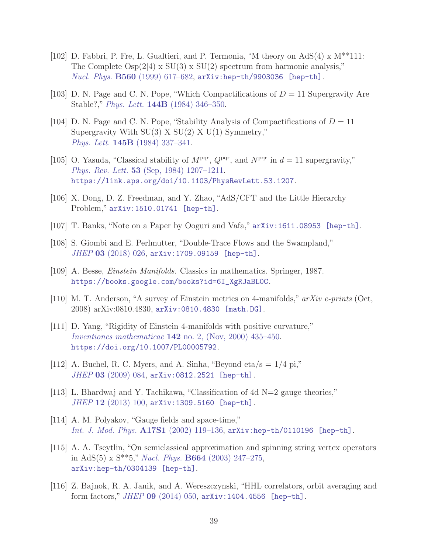- <span id="page-39-0"></span>[102] D. Fabbri, P. Fre, L. Gualtieri, and P. Termonia, "M theory on  $AdS(4) \times M^{**}111$ : The Complete  $\text{Osp}(2|4) \times \text{SU}(3) \times \text{SU}(2)$  spectrum from harmonic analysis," *Nucl. Phys.*  $B560$  [\(1999\) 617–682,](http://dx.doi.org/10.1016/S0550-3213(99)00363-6) [arXiv:hep-th/9903036 \[hep-th\]](http://arxiv.org/abs/hep-th/9903036).
- <span id="page-39-1"></span>[103] D. N. Page and C. N. Pope, "Which Compactifications of  $D = 11$  Supergravity Are Stable?," Phys. Lett. 144B [\(1984\) 346–350.](http://dx.doi.org/10.1016/0370-2693(84)91275-9)
- [104] D. N. Page and C. N. Pope, "Stability Analysis of Compactifications of  $D = 11$ Supergravity With  $SU(3)$  X  $SU(2)$  X  $U(1)$  Symmetry," Phys. Lett. 145B [\(1984\) 337–341.](http://dx.doi.org/10.1016/0370-2693(84)90056-X)
- <span id="page-39-2"></span>[105] O. Yasuda, "Classical stability of  $M<sup>pqr</sup>$ ,  $Q<sup>pqr</sup>$ , and  $N<sup>pqr</sup>$  in  $d = 11$  supergravity," Phys. Rev. Lett. 53 [\(Sep, 1984\) 1207–1211.](http://dx.doi.org/10.1103/PhysRevLett.53.1207) <https://link.aps.org/doi/10.1103/PhysRevLett.53.1207>.
- <span id="page-39-3"></span>[106] X. Dong, D. Z. Freedman, and Y. Zhao, "AdS/CFT and the Little Hierarchy Problem," [arXiv:1510.01741 \[hep-th\]](http://arxiv.org/abs/1510.01741).
- <span id="page-39-4"></span>[107] T. Banks, "Note on a Paper by Ooguri and Vafa," [arXiv:1611.08953 \[hep-th\]](http://arxiv.org/abs/1611.08953).
- <span id="page-39-5"></span>[108] S. Giombi and E. Perlmutter, "Double-Trace Flows and the Swampland," JHEP 03 [\(2018\) 026,](http://dx.doi.org/10.1007/JHEP03(2018)026) [arXiv:1709.09159 \[hep-th\]](http://arxiv.org/abs/1709.09159).
- [109] A. Besse, Einstein Manifolds. Classics in mathematics. Springer, 1987. [https://books.google.com/books?id=6I\\_XgRJaBL0C](https://books.google.com/books?id=6I_XgRJaBL0C).
- <span id="page-39-6"></span>[110] M. T. Anderson, "A survey of Einstein metrics on 4-manifolds," arXiv e-prints (Oct, 2008) arXiv:0810.4830, [arXiv:0810.4830 \[math.DG\]](http://arxiv.org/abs/0810.4830).
- [111] D. Yang, "Rigidity of Einstein 4-manifolds with positive curvature," Inventiones mathematicae  $142$  [no. 2, \(Nov, 2000\) 435–450.](http://dx.doi.org/10.1007/PL00005792) <https://doi.org/10.1007/PL00005792>.
- <span id="page-39-8"></span><span id="page-39-7"></span>[112] A. Buchel, R. C. Myers, and A. Sinha, "Beyond eta/s  $= 1/4$  pi," JHEP 03 [\(2009\) 084,](http://dx.doi.org/10.1088/1126-6708/2009/03/084) [arXiv:0812.2521 \[hep-th\]](http://arxiv.org/abs/0812.2521).
- <span id="page-39-9"></span>[113] L. Bhardwaj and Y. Tachikawa, "Classification of 4d N=2 gauge theories," JHEP 12 [\(2013\) 100,](http://dx.doi.org/10.1007/JHEP12(2013)100) [arXiv:1309.5160 \[hep-th\]](http://arxiv.org/abs/1309.5160).
- <span id="page-39-10"></span>[114] A. M. Polyakov, "Gauge fields and space-time," [Int. J. Mod. Phys.](http://dx.doi.org/10.1142/S0217751X02013071) A17S1 (2002) 119–136, [arXiv:hep-th/0110196 \[hep-th\]](http://arxiv.org/abs/hep-th/0110196).
- [115] A. A. Tseytlin, "On semiclassical approximation and spinning string vertex operators in AdS(5) x  $S^{**}5$ ," *Nucl. Phys.* **B664** (2003) 247-275, [arXiv:hep-th/0304139 \[hep-th\]](http://arxiv.org/abs/hep-th/0304139).
- <span id="page-39-11"></span>[116] Z. Bajnok, R. A. Janik, and A. Wereszczynski, "HHL correlators, orbit averaging and form factors,"  $JHEP$  09 [\(2014\) 050,](http://dx.doi.org/10.1007/JHEP09(2014)050)  $arXiv:1404.4556$  [hep-th].